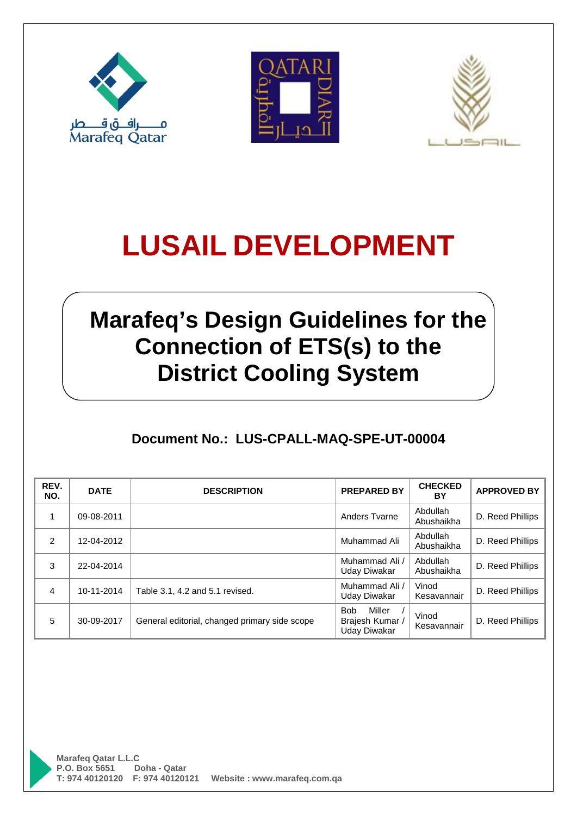





# **Marafeq's Design Guidelines for the Connection of ETS(s) to the District Cooling System**

### **Document No.: LUS-CPALL-MAQ-SPE-UT-00004**

| REV.<br>NO. | <b>DATE</b> | <b>DESCRIPTION</b>                            | <b>PREPARED BY</b>                                           | <b>CHECKED</b><br>BY   | <b>APPROVED BY</b> |
|-------------|-------------|-----------------------------------------------|--------------------------------------------------------------|------------------------|--------------------|
|             | 09-08-2011  |                                               | Anders Tvarne                                                | Abdullah<br>Abushaikha | D. Reed Phillips   |
| 2           | 12-04-2012  |                                               | Muhammad Ali                                                 | Abdullah<br>Abushaikha | D. Reed Phillips   |
| 3           | 22-04-2014  |                                               | Muhammad Ali<br>Uday Diwakar                                 | Abdullah<br>Abushaikha | D. Reed Phillips   |
| 4           | 10-11-2014  | Table 3.1, 4.2 and 5.1 revised.               | Muhammad Ali /<br>Uday Diwakar                               | Vinod<br>Kesavannair   | D. Reed Phillips   |
| 5           | 30-09-2017  | General editorial, changed primary side scope | Miller<br><b>Bob</b><br>Brajesh Kumar<br><b>Uday Diwakar</b> | Vinod<br>Kesavannair   | D. Reed Phillips   |

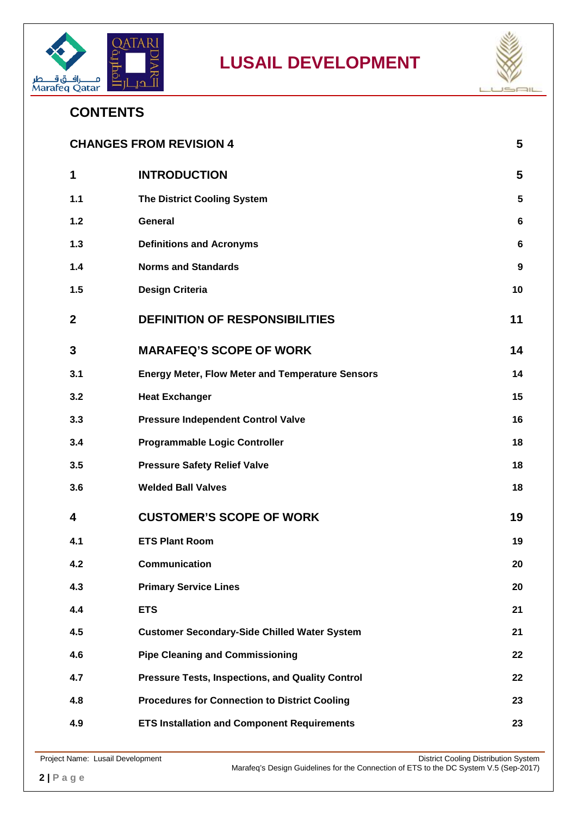



### **CONTENTS**

| <b>CHANGES FROM REVISION 4</b><br>5 |                                                         |                  |
|-------------------------------------|---------------------------------------------------------|------------------|
| 1                                   | <b>INTRODUCTION</b>                                     | 5                |
| $1.1$                               | <b>The District Cooling System</b>                      | $5\phantom{.0}$  |
| $1.2$                               | <b>General</b>                                          | 6                |
| 1.3                                 | <b>Definitions and Acronyms</b>                         | 6                |
| 1.4                                 | <b>Norms and Standards</b>                              | $\boldsymbol{9}$ |
| 1.5                                 | <b>Design Criteria</b>                                  | 10               |
| $\mathbf{2}$                        | <b>DEFINITION OF RESPONSIBILITIES</b>                   | 11               |
| 3                                   | <b>MARAFEQ'S SCOPE OF WORK</b>                          | 14               |
| 3.1                                 | <b>Energy Meter, Flow Meter and Temperature Sensors</b> | 14               |
| 3.2                                 | <b>Heat Exchanger</b>                                   | 15               |
| 3.3                                 | <b>Pressure Independent Control Valve</b>               | 16               |
| 3.4                                 | <b>Programmable Logic Controller</b>                    | 18               |
| 3.5                                 | <b>Pressure Safety Relief Valve</b>                     | 18               |
| 3.6                                 | <b>Welded Ball Valves</b>                               | 18               |
| 4                                   | <b>CUSTOMER'S SCOPE OF WORK</b>                         | 19               |
| 4.1                                 | <b>ETS Plant Room</b>                                   | 19               |
| 4.2                                 | Communication                                           | 20               |
| 4.3                                 | <b>Primary Service Lines</b>                            | 20               |
| 4.4                                 | <b>ETS</b>                                              | 21               |
| 4.5                                 | <b>Customer Secondary-Side Chilled Water System</b>     | 21               |
| 4.6                                 | <b>Pipe Cleaning and Commissioning</b>                  | 22               |
| 4.7                                 | <b>Pressure Tests, Inspections, and Quality Control</b> | 22               |
| 4.8                                 | <b>Procedures for Connection to District Cooling</b>    | 23               |
| 4.9                                 | <b>ETS Installation and Component Requirements</b>      | 23               |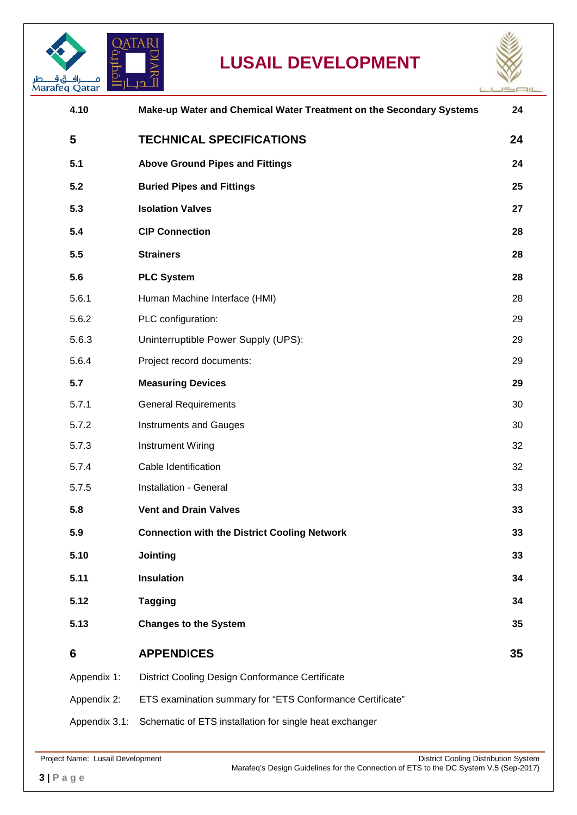



í.

| 4.10          | Make-up Water and Chemical Water Treatment on the Secondary Systems | 24 |
|---------------|---------------------------------------------------------------------|----|
| 5             | <b>TECHNICAL SPECIFICATIONS</b>                                     | 24 |
| 5.1           | <b>Above Ground Pipes and Fittings</b>                              | 24 |
| 5.2           | <b>Buried Pipes and Fittings</b>                                    | 25 |
| 5.3           | <b>Isolation Valves</b>                                             | 27 |
| 5.4           | <b>CIP Connection</b>                                               | 28 |
| 5.5           | <b>Strainers</b>                                                    | 28 |
| 5.6           | <b>PLC System</b>                                                   | 28 |
| 5.6.1         | Human Machine Interface (HMI)                                       | 28 |
| 5.6.2         | PLC configuration:                                                  | 29 |
| 5.6.3         | Uninterruptible Power Supply (UPS):                                 | 29 |
| 5.6.4         | Project record documents:                                           | 29 |
| 5.7           | <b>Measuring Devices</b>                                            | 29 |
| 5.7.1         | <b>General Requirements</b>                                         | 30 |
| 5.7.2         | <b>Instruments and Gauges</b>                                       | 30 |
| 5.7.3         | <b>Instrument Wiring</b>                                            | 32 |
| 5.7.4         | Cable Identification                                                | 32 |
| 5.7.5         | Installation - General                                              | 33 |
| 5.8           | <b>Vent and Drain Valves</b>                                        | 33 |
| 5.9           | <b>Connection with the District Cooling Network</b>                 | 33 |
| 5.10          | Jointing                                                            | 33 |
| 5.11          | <b>Insulation</b>                                                   | 34 |
| 5.12          | <b>Tagging</b>                                                      | 34 |
| 5.13          | <b>Changes to the System</b>                                        | 35 |
| 6             | <b>APPENDICES</b>                                                   | 35 |
| Appendix 1:   | District Cooling Design Conformance Certificate                     |    |
| Appendix 2:   | ETS examination summary for "ETS Conformance Certificate"           |    |
| Appendix 3.1: | Schematic of ETS installation for single heat exchanger             |    |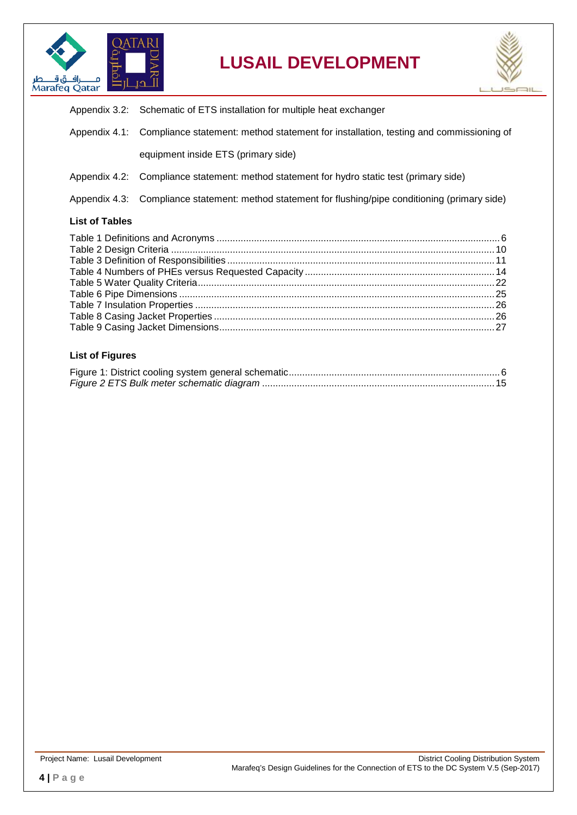



|                       | Appendix 3.2: Schematic of ETS installation for multiple heat exchanger                             |
|-----------------------|-----------------------------------------------------------------------------------------------------|
|                       | Appendix 4.1: Compliance statement: method statement for installation, testing and commissioning of |
|                       | equipment inside ETS (primary side)                                                                 |
|                       | Appendix 4.2: Compliance statement: method statement for hydro static test (primary side)           |
|                       | Appendix 4.3: Compliance statement: method statement for flushing/pipe conditioning (primary side)  |
| <b>List of Tables</b> |                                                                                                     |
|                       |                                                                                                     |
|                       |                                                                                                     |

Table 6 Pipe Dimensions [......................................................................................................................25](#page-24-1) Table 7 Insulation Properties [................................................................................................................26](#page-25-0) Table 8 Casing Jacket Properties [.........................................................................................................26](#page-25-1) [Table 9 Casing Jacket Dimensions.......................................................................................................27](#page-26-1)

#### **List of Figures**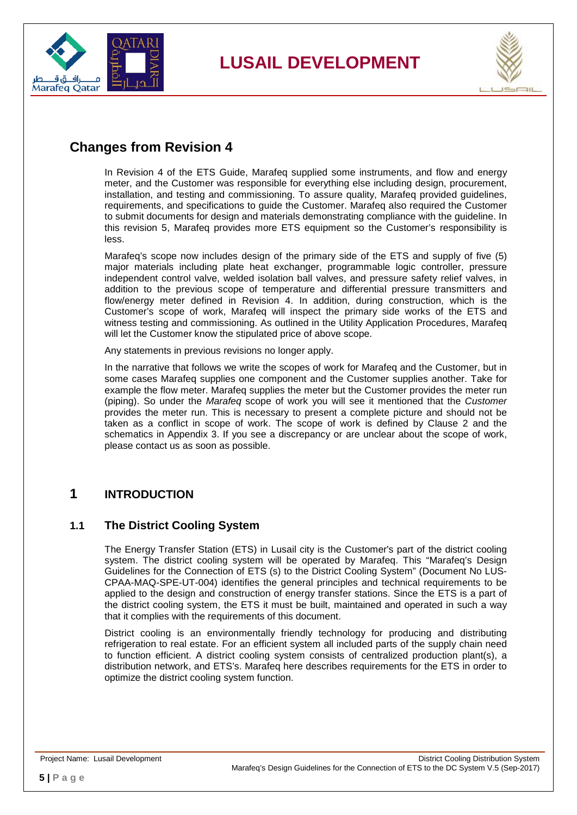



### <span id="page-4-0"></span>**Changes from Revision 4**

In Revision 4 of the ETS Guide, Marafeq supplied some instruments, and flow and energy meter, and the Customer was responsible for everything else including design, procurement, installation, and testing and commissioning. To assure quality, Marafeq provided guidelines, requirements, and specifications to guide the Customer. Marafeq also required the Customer to submit documents for design and materials demonstrating compliance with the guideline. In this revision 5, Marafeq provides more ETS equipment so the Customer's responsibility is less.

Marafeq's scope now includes design of the primary side of the ETS and supply of five (5) major materials including plate heat exchanger, programmable logic controller, pressure independent control valve, welded isolation ball valves, and pressure safety relief valves, in addition to the previous scope of temperature and differential pressure transmitters and flow/energy meter defined in Revision 4. In addition, during construction, which is the Customer's scope of work, Marafeq will inspect the primary side works of the ETS and witness testing and commissioning. As outlined in the Utility Application Procedures, Marafeq will let the Customer know the stipulated price of above scope.

Any statements in previous revisions no longer apply.

In the narrative that follows we write the scopes of work for Marafeq and the Customer, but in some cases Marafeq supplies one component and the Customer supplies another. Take for example the flow meter. Marafeq supplies the meter but the Customer provides the meter run (piping). So under the *Marafeq* scope of work you will see it mentioned that the *Customer* provides the meter run. This is necessary to present a complete picture and should not be taken as a conflict in scope of work. The scope of work is defined by Clause [2](#page-10-0) and the schematics in Appendix 3. If you see a discrepancy or are unclear about the scope of work, please contact us as soon as possible.

### <span id="page-4-1"></span>**1 INTRODUCTION**

#### <span id="page-4-2"></span>**1.1 The District Cooling System**

The Energy Transfer Station (ETS) in Lusail city is the Customer's part of the district cooling system. The district cooling system will be operated by Marafeq. This "Marafeq's Design Guidelines for the Connection of ETS (s) to the District Cooling System" (Document No LUS-CPAA-MAQ-SPE-UT-004) identifies the general principles and technical requirements to be applied to the design and construction of energy transfer stations. Since the ETS is a part of the district cooling system, the ETS it must be built, maintained and operated in such a way that it complies with the requirements of this document.

District cooling is an environmentally friendly technology for producing and distributing refrigeration to real estate. For an efficient system all included parts of the supply chain need to function efficient. A district cooling system consists of centralized production plant(s), a distribution network, and ETS's. Marafeq here describes requirements for the ETS in order to optimize the district cooling system function.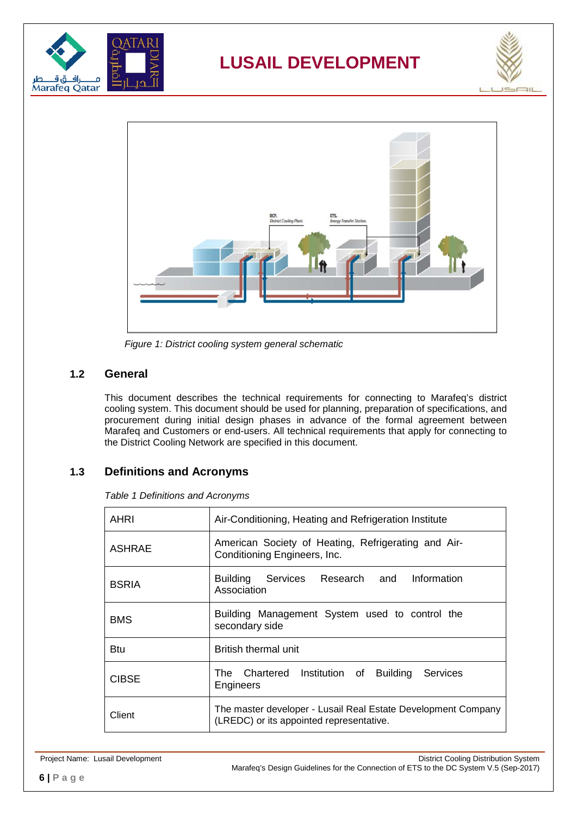





*Figure 1: District cooling system general schematic*

#### <span id="page-5-3"></span><span id="page-5-0"></span>**1.2 General**

This document describes the technical requirements for connecting to Marafeq's district cooling system. This document should be used for planning, preparation of specifications, and procurement during initial design phases in advance of the formal agreement between Marafeq and Customers or end-users. All technical requirements that apply for connecting to the District Cooling Network are specified in this document.

#### <span id="page-5-2"></span><span id="page-5-1"></span>**1.3 Definitions and Acronyms**

*Table 1 Definitions and Acronyms*

| AHRI         | Air-Conditioning, Heating and Refrigeration Institute                                                     |  |  |
|--------------|-----------------------------------------------------------------------------------------------------------|--|--|
| ASHRAE       | American Society of Heating, Refrigerating and Air-<br>Conditioning Engineers, Inc.                       |  |  |
| <b>BSRIA</b> | Building Services Research and Information<br>Association                                                 |  |  |
| <b>BMS</b>   | Building Management System used to control the<br>secondary side                                          |  |  |
| Btu          | British thermal unit                                                                                      |  |  |
| <b>CIBSE</b> | The Chartered Institution of Building<br>Services<br>Engineers                                            |  |  |
| Client       | The master developer - Lusail Real Estate Development Company<br>(LREDC) or its appointed representative. |  |  |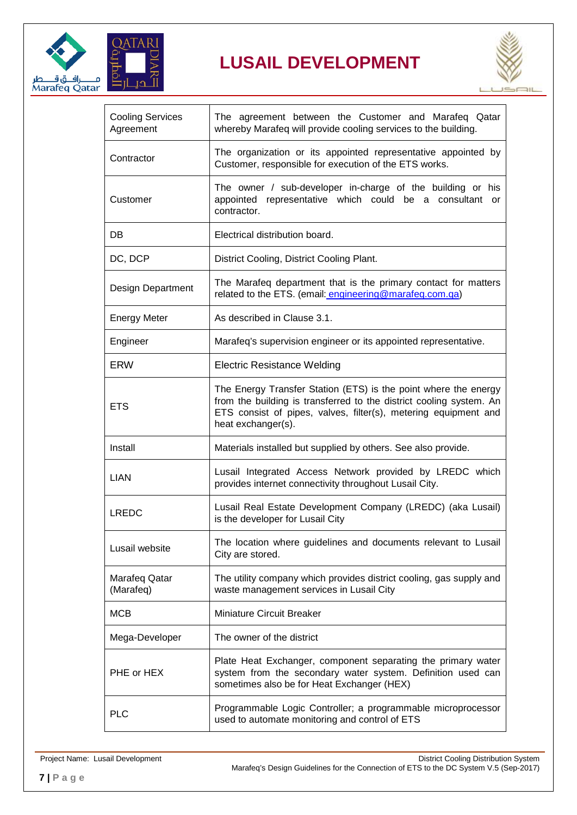



| <b>Cooling Services</b><br>Agreement | The agreement between the Customer and Marafeq Qatar<br>whereby Marafeq will provide cooling services to the building.                                                                                                          |
|--------------------------------------|---------------------------------------------------------------------------------------------------------------------------------------------------------------------------------------------------------------------------------|
| Contractor                           | The organization or its appointed representative appointed by<br>Customer, responsible for execution of the ETS works.                                                                                                          |
| Customer                             | The owner / sub-developer in-charge of the building or his<br>appointed representative which could be a consultant or<br>contractor.                                                                                            |
| DB                                   | Electrical distribution board.                                                                                                                                                                                                  |
| DC, DCP                              | District Cooling, District Cooling Plant.                                                                                                                                                                                       |
| Design Department                    | The Marafeq department that is the primary contact for matters<br>related to the ETS. (email: engineering@marafeq.com.qa)                                                                                                       |
| <b>Energy Meter</b>                  | As described in Clause 3.1.                                                                                                                                                                                                     |
| Engineer                             | Marafeq's supervision engineer or its appointed representative.                                                                                                                                                                 |
| <b>ERW</b>                           | <b>Electric Resistance Welding</b>                                                                                                                                                                                              |
| <b>ETS</b>                           | The Energy Transfer Station (ETS) is the point where the energy<br>from the building is transferred to the district cooling system. An<br>ETS consist of pipes, valves, filter(s), metering equipment and<br>heat exchanger(s). |
| Install                              | Materials installed but supplied by others. See also provide.                                                                                                                                                                   |
| <b>LIAN</b>                          | Lusail Integrated Access Network provided by LREDC which<br>provides internet connectivity throughout Lusail City.                                                                                                              |
| <b>LREDC</b>                         | Lusail Real Estate Development Company (LREDC) (aka Lusail)<br>is the developer for Lusail City                                                                                                                                 |
| Lusail website                       | The location where guidelines and documents relevant to Lusail<br>City are stored.                                                                                                                                              |
| Marafeq Qatar<br>(Marafeq)           | The utility company which provides district cooling, gas supply and<br>waste management services in Lusail City                                                                                                                 |
| <b>MCB</b>                           | <b>Miniature Circuit Breaker</b>                                                                                                                                                                                                |
| Mega-Developer                       | The owner of the district                                                                                                                                                                                                       |
| PHE or HEX                           | Plate Heat Exchanger, component separating the primary water<br>system from the secondary water system. Definition used can<br>sometimes also be for Heat Exchanger (HEX)                                                       |
| <b>PLC</b>                           | Programmable Logic Controller; a programmable microprocessor<br>used to automate monitoring and control of ETS                                                                                                                  |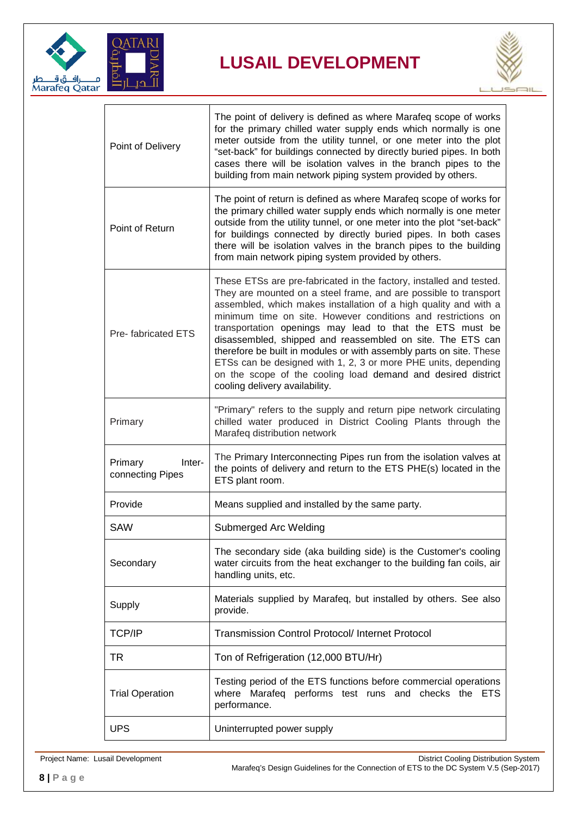



| Point of Delivery                     | The point of delivery is defined as where Marafeq scope of works<br>for the primary chilled water supply ends which normally is one<br>meter outside from the utility tunnel, or one meter into the plot<br>"set-back" for buildings connected by directly buried pipes. In both<br>cases there will be isolation valves in the branch pipes to the<br>building from main network piping system provided by others.                                                                                                                                                                                                                              |
|---------------------------------------|--------------------------------------------------------------------------------------------------------------------------------------------------------------------------------------------------------------------------------------------------------------------------------------------------------------------------------------------------------------------------------------------------------------------------------------------------------------------------------------------------------------------------------------------------------------------------------------------------------------------------------------------------|
| Point of Return                       | The point of return is defined as where Marafeq scope of works for<br>the primary chilled water supply ends which normally is one meter<br>outside from the utility tunnel, or one meter into the plot "set-back"<br>for buildings connected by directly buried pipes. In both cases<br>there will be isolation valves in the branch pipes to the building<br>from main network piping system provided by others.                                                                                                                                                                                                                                |
| Pre-fabricated ETS                    | These ETSs are pre-fabricated in the factory, installed and tested.<br>They are mounted on a steel frame, and are possible to transport<br>assembled, which makes installation of a high quality and with a<br>minimum time on site. However conditions and restrictions on<br>transportation openings may lead to that the ETS must be<br>disassembled, shipped and reassembled on site. The ETS can<br>therefore be built in modules or with assembly parts on site. These<br>ETSs can be designed with 1, 2, 3 or more PHE units, depending<br>on the scope of the cooling load demand and desired district<br>cooling delivery availability. |
| Primary                               | "Primary" refers to the supply and return pipe network circulating<br>chilled water produced in District Cooling Plants through the<br>Marafeq distribution network                                                                                                                                                                                                                                                                                                                                                                                                                                                                              |
| Primary<br>Inter-<br>connecting Pipes | The Primary Interconnecting Pipes run from the isolation valves at<br>the points of delivery and return to the ETS PHE(s) located in the<br>ETS plant room.                                                                                                                                                                                                                                                                                                                                                                                                                                                                                      |
| Provide                               | Means supplied and installed by the same party.                                                                                                                                                                                                                                                                                                                                                                                                                                                                                                                                                                                                  |
| <b>SAW</b>                            | Submerged Arc Welding                                                                                                                                                                                                                                                                                                                                                                                                                                                                                                                                                                                                                            |
| Secondary                             | The secondary side (aka building side) is the Customer's cooling<br>water circuits from the heat exchanger to the building fan coils, air<br>handling units, etc.                                                                                                                                                                                                                                                                                                                                                                                                                                                                                |
| Supply                                | Materials supplied by Marafeq, but installed by others. See also<br>provide.                                                                                                                                                                                                                                                                                                                                                                                                                                                                                                                                                                     |
| TCP/IP                                | <b>Transmission Control Protocol/Internet Protocol</b>                                                                                                                                                                                                                                                                                                                                                                                                                                                                                                                                                                                           |
| TR                                    | Ton of Refrigeration (12,000 BTU/Hr)                                                                                                                                                                                                                                                                                                                                                                                                                                                                                                                                                                                                             |
| <b>Trial Operation</b>                | Testing period of the ETS functions before commercial operations<br>where Marafeq performs test runs and checks the ETS<br>performance.                                                                                                                                                                                                                                                                                                                                                                                                                                                                                                          |
| <b>UPS</b>                            | Uninterrupted power supply                                                                                                                                                                                                                                                                                                                                                                                                                                                                                                                                                                                                                       |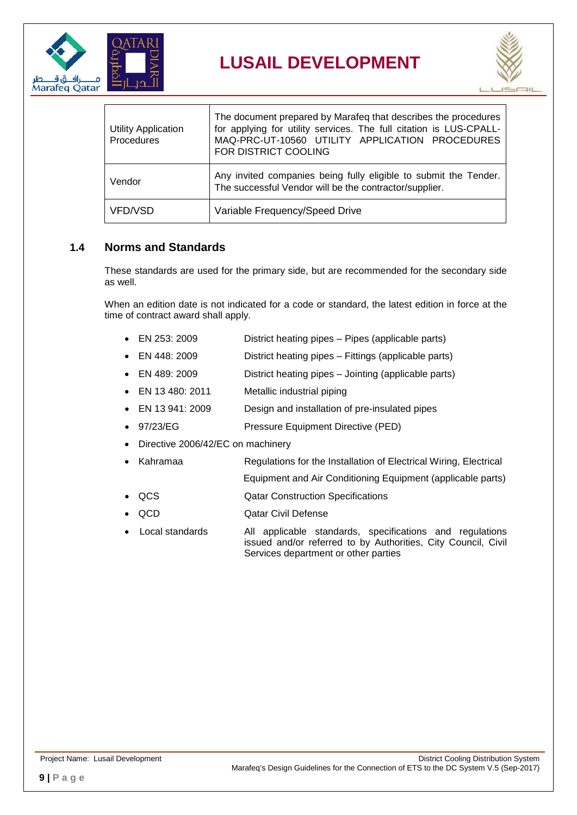



| <b>Utility Application</b><br>Procedures | The document prepared by Marafeq that describes the procedures<br>for applying for utility services. The full citation is LUS-CPALL-<br>MAQ-PRC-UT-10560 UTILITY APPLICATION PROCEDURES<br>FOR DISTRICT COOLING |  |  |
|------------------------------------------|-----------------------------------------------------------------------------------------------------------------------------------------------------------------------------------------------------------------|--|--|
| Vendor                                   | Any invited companies being fully eligible to submit the Tender.<br>The successful Vendor will be the contractor/supplier.                                                                                      |  |  |
| VFD/VSD                                  | Variable Frequency/Speed Drive                                                                                                                                                                                  |  |  |

#### <span id="page-8-0"></span>**1.4 Norms and Standards**

These standards are used for the primary side, but are recommended for the secondary side as well.

When an edition date is not indicated for a code or standard, the latest edition in force at the time of contract award shall apply.

- EN 253: 2009 District heating pipes Pipes (applicable parts)
- EN 448: 2009 District heating pipes Fittings (applicable parts)
- EN 489: 2009 District heating pipes Jointing (applicable parts)
- EN 13 480: 2011 Metallic industrial piping
- EN 13 941: 2009 Design and installation of pre-insulated pipes
- 97/23/EG Pressure Equipment Directive (PED)
- Directive 2006/42/EC on machinery
	- Kahramaa Regulations for the Installation of Electrical Wiring, Electrical
		- Equipment and Air Conditioning Equipment (applicable parts)
- QCS Qatar Construction Specifications
- **QCD Qatar Civil Defense**
- Local standards All applicable standards, specifications and regulations issued and/or referred to by Authorities, City Council, Civil Services department or other parties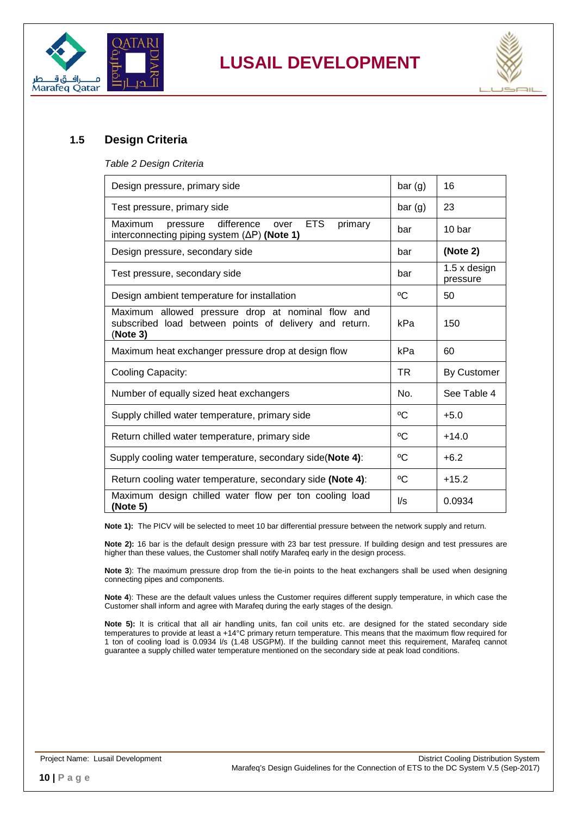



#### <span id="page-9-1"></span><span id="page-9-0"></span>**1.5 Design Criteria**

*Table 2 Design Criteria*

| Design pressure, primary side                                                                                             |        | 16                              |
|---------------------------------------------------------------------------------------------------------------------------|--------|---------------------------------|
| Test pressure, primary side                                                                                               | bar(g) | 23                              |
| <b>ETS</b><br>Maximum<br>difference<br>primary<br>pressure<br>over<br>interconnecting piping system $(\Delta P)$ (Note 1) | bar    | 10 bar                          |
| Design pressure, secondary side                                                                                           | bar    | (Note 2)                        |
| Test pressure, secondary side                                                                                             | bar    | $1.5 \times$ design<br>pressure |
| Design ambient temperature for installation                                                                               | °C     | 50                              |
| Maximum allowed pressure drop at nominal flow and<br>subscribed load between points of delivery and return.<br>(Note 3)   | kPa    | 150                             |
| Maximum heat exchanger pressure drop at design flow                                                                       | kPa    | 60                              |
| Cooling Capacity:                                                                                                         | TR.    | <b>By Customer</b>              |
| Number of equally sized heat exchangers                                                                                   | No.    | See Table 4                     |
| Supply chilled water temperature, primary side                                                                            | °C     | $+5.0$                          |
| Return chilled water temperature, primary side                                                                            | °C     | $+14.0$                         |
| Supply cooling water temperature, secondary side(Note 4):                                                                 | °C     | $+6.2$                          |
| Return cooling water temperature, secondary side (Note 4):                                                                | °C     | $+15.2$                         |
| Maximum design chilled water flow per ton cooling load<br>(Note 5)                                                        | l/s    | 0.0934                          |

**Note 1):** The PICV will be selected to meet 10 bar differential pressure between the network supply and return.

**Note 2):** 16 bar is the default design pressure with 23 bar test pressure. If building design and test pressures are higher than these values, the Customer shall notify Marafeq early in the design process.

**Note 3**): The maximum pressure drop from the tie-in points to the heat exchangers shall be used when designing connecting pipes and components.

**Note 4**): These are the default values unless the Customer requires different supply temperature, in which case the Customer shall inform and agree with Marafeq during the early stages of the design.

<span id="page-9-2"></span>Note 5): It is critical that all air handling units, fan coil units etc. are designed for the stated secondary side temperatures to provide at least a +14°C primary return temperature. This means that the maximum flow required for 1 ton of cooling load is 0.0934 l/s (1.48 USGPM). If the building cannot meet this requirement, Marafeq cannot guarantee a supply chilled water temperature mentioned on the secondary side at peak load conditions.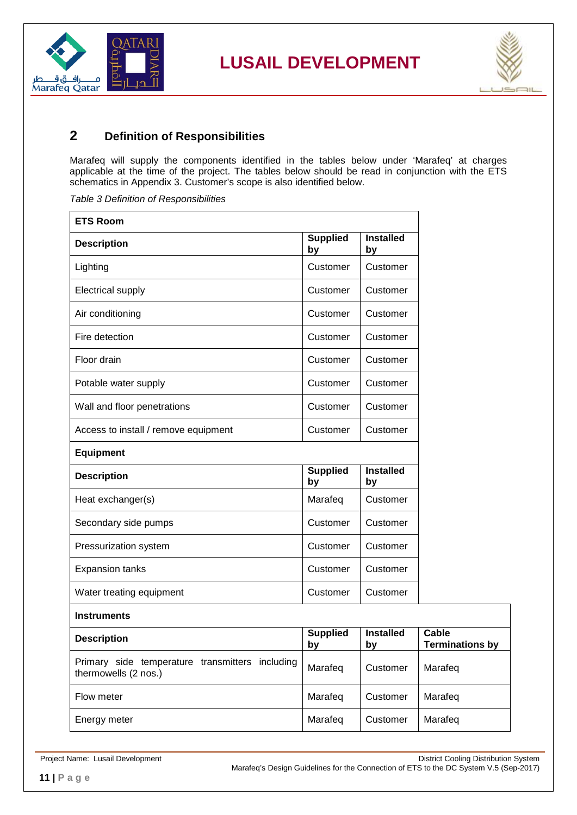



### <span id="page-10-0"></span>**2 Definition of Responsibilities**

Marafeq will supply the components identified in the tables below under 'Marafeq' at charges applicable at the time of the project. The tables below should be read in conjunction with the ETS schematics in Appendix 3. Customer's scope is also identified below.

<span id="page-10-1"></span>*Table 3 Definition of Responsibilities*

| <b>ETS Room</b>                                                         |                       |                        |                                        |
|-------------------------------------------------------------------------|-----------------------|------------------------|----------------------------------------|
| <b>Description</b>                                                      | <b>Supplied</b><br>by | <b>Installed</b><br>by |                                        |
| Lighting                                                                | Customer              | Customer               |                                        |
| <b>Electrical supply</b>                                                | Customer              | Customer               |                                        |
| Air conditioning                                                        | Customer              | Customer               |                                        |
| Fire detection                                                          | Customer              | Customer               |                                        |
| Floor drain                                                             | Customer              | Customer               |                                        |
| Potable water supply                                                    | Customer              | Customer               |                                        |
| Wall and floor penetrations                                             | Customer              | Customer               |                                        |
| Access to install / remove equipment                                    | Customer              | Customer               |                                        |
| <b>Equipment</b>                                                        |                       |                        |                                        |
| <b>Description</b>                                                      | <b>Supplied</b><br>by | <b>Installed</b><br>by |                                        |
| Heat exchanger(s)                                                       | Marafeq               | Customer               |                                        |
| Secondary side pumps                                                    | Customer              | Customer               |                                        |
| Pressurization system                                                   | Customer              | Customer               |                                        |
| <b>Expansion tanks</b>                                                  | Customer              | Customer               |                                        |
| Water treating equipment                                                | Customer              | Customer               |                                        |
| <b>Instruments</b>                                                      |                       |                        |                                        |
| <b>Description</b>                                                      | Supplied<br>by        | <b>Installed</b><br>by | <b>Cable</b><br><b>Terminations by</b> |
| Primary side temperature transmitters including<br>thermowells (2 nos.) | Marafeq               | Customer               | Marafeq                                |
| Flow meter                                                              | Marafeq               | Customer               | Marafeq                                |
| Energy meter                                                            | Marafeq               | Customer               | Marafeq                                |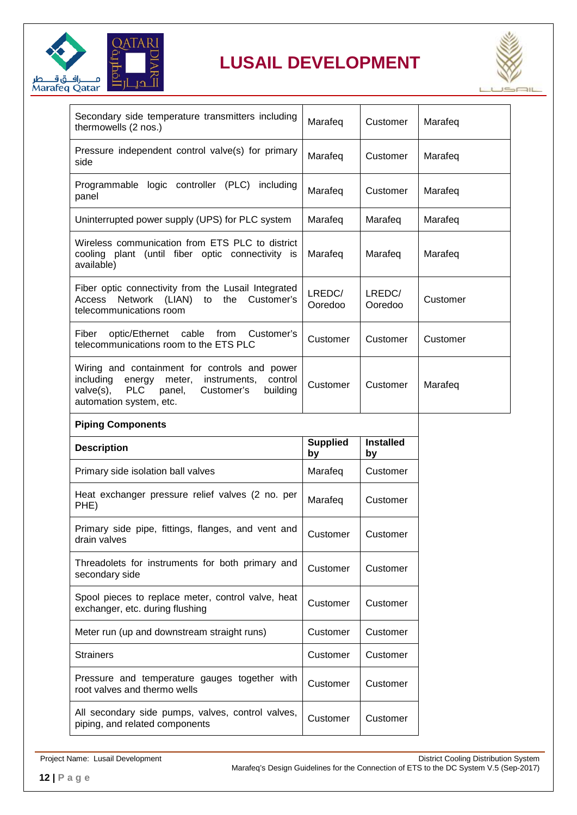



| Secondary side temperature transmitters including<br>thermowells (2 nos.)                                                                                                                        | Marafeq           | Customer          | Marafeq  |
|--------------------------------------------------------------------------------------------------------------------------------------------------------------------------------------------------|-------------------|-------------------|----------|
| Pressure independent control valve(s) for primary<br>side                                                                                                                                        | Marafeq           | Customer          | Marafeg  |
| Programmable logic controller (PLC)<br>including<br>panel                                                                                                                                        | Marafeg           | Customer          | Marafeq  |
| Uninterrupted power supply (UPS) for PLC system                                                                                                                                                  | Marafeg           | Marafeg           | Marafeg  |
| Wireless communication from ETS PLC to district<br>cooling plant (until fiber optic connectivity is<br>available)                                                                                | Marafeg           | Marafeg           | Marafeg  |
| Fiber optic connectivity from the Lusail Integrated<br>to the<br>Access Network (LIAN)<br>Customer's<br>telecommunications room                                                                  | LREDC/<br>Ooredoo | LREDC/<br>Ooredoo | Customer |
| optic/Ethernet cable<br>Fiber<br>from<br>Customer's<br>telecommunications room to the ETS PLC                                                                                                    | Customer          | Customer          | Customer |
| Wiring and containment for controls and power<br>including<br>energy<br>meter, instruments,<br>control<br><b>PLC</b><br>valve(s),<br>panel,<br>Customer's<br>building<br>automation system, etc. | Customer          | Customer          | Marafeg  |
| <b>Piping Components</b>                                                                                                                                                                         |                   |                   |          |

| <b>Description</b>                                                                    | <b>Supplied</b><br>by | <b>Installed</b><br>by |
|---------------------------------------------------------------------------------------|-----------------------|------------------------|
| Primary side isolation ball valves                                                    | Marafeq               | Customer               |
| Heat exchanger pressure relief valves (2 no. per<br>PHE)                              | Marafeq               | Customer               |
| Primary side pipe, fittings, flanges, and vent and<br>drain valves                    | Customer              | Customer               |
| Threadolets for instruments for both primary and<br>secondary side                    | Customer              | Customer               |
| Spool pieces to replace meter, control valve, heat<br>exchanger, etc. during flushing | Customer              | Customer               |
| Meter run (up and downstream straight runs)                                           | Customer              | Customer               |
| <b>Strainers</b>                                                                      | Customer              | Customer               |
| Pressure and temperature gauges together with<br>root valves and thermo wells         | Customer              | Customer               |
| All secondary side pumps, valves, control valves,<br>piping, and related components   | Customer              | Customer               |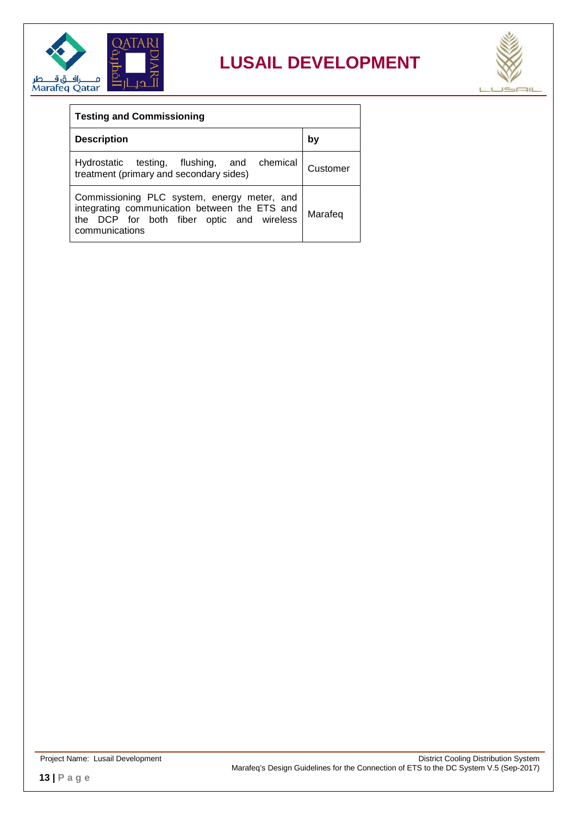



| <b>Testing and Commissioning</b>                                                                                                                            |          |  |  |
|-------------------------------------------------------------------------------------------------------------------------------------------------------------|----------|--|--|
| <b>Description</b>                                                                                                                                          | b٧       |  |  |
| Hydrostatic testing, flushing, and chemical<br>treatment (primary and secondary sides)                                                                      | Customer |  |  |
| Commissioning PLC system, energy meter, and<br>integrating communication between the ETS and<br>the DCP for both fiber optic and wireless<br>communications | Marafeg  |  |  |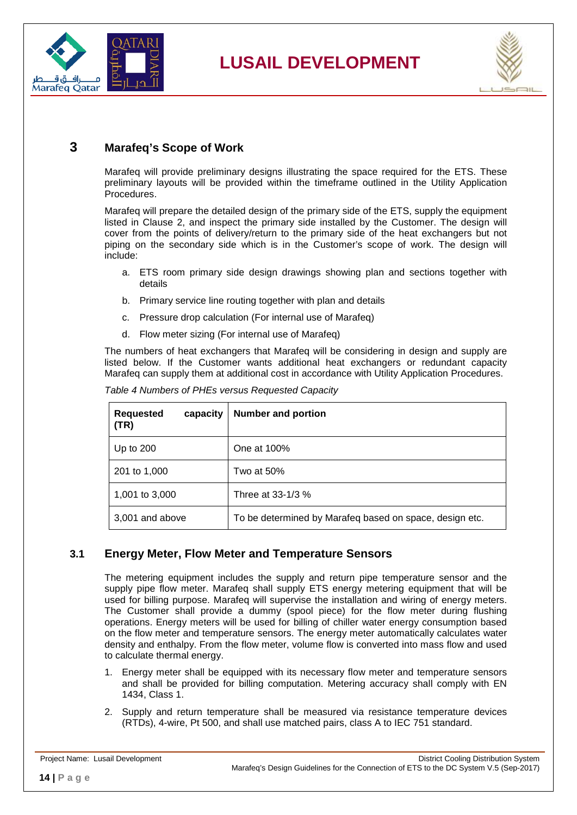



#### <span id="page-13-0"></span>**3 Marafeq's Scope of Work**

Marafeq will provide preliminary designs illustrating the space required for the ETS. These preliminary layouts will be provided within the timeframe outlined in the Utility Application Procedures.

Marafeq will prepare the detailed design of the primary side of the ETS, supply the equipment listed in Clause [2,](#page-9-2) and inspect the primary side installed by the Customer. The design will cover from the points of delivery/return to the primary side of the heat exchangers but not piping on the secondary side which is in the Customer's scope of work. The design will include:

- a. ETS room primary side design drawings showing plan and sections together with details
- b. Primary service line routing together with plan and details
- c. Pressure drop calculation (For internal use of Marafeq)
- d. Flow meter sizing (For internal use of Marafeq)

The numbers of heat exchangers that Marafeq will be considering in design and supply are listed below. If the Customer wants additional heat exchangers or redundant capacity Marafeq can supply them at additional cost in accordance with Utility Application Procedures.

| <b>Requested</b><br>capacity<br>(TR) | <b>Number and portion</b>                               |
|--------------------------------------|---------------------------------------------------------|
| Up to $200$                          | One at 100%                                             |
| 201 to 1,000                         | Two at 50%                                              |
| 1,001 to 3,000                       | Three at 33-1/3 %                                       |
| 3,001 and above                      | To be determined by Marafeq based on space, design etc. |

<span id="page-13-2"></span>*Table 4 Numbers of PHEs versus Requested Capacity*

#### <span id="page-13-1"></span>**3.1 Energy Meter, Flow Meter and Temperature Sensors**

The metering equipment includes the supply and return pipe temperature sensor and the supply pipe flow meter. Marafeq shall supply ETS energy metering equipment that will be used for billing purpose. Marafeq will supervise the installation and wiring of energy meters. The Customer shall provide a dummy (spool piece) for the flow meter during flushing operations. Energy meters will be used for billing of chiller water energy consumption based on the flow meter and temperature sensors. The energy meter automatically calculates water density and enthalpy. From the flow meter, volume flow is converted into mass flow and used to calculate thermal energy.

- 1. Energy meter shall be equipped with its necessary flow meter and temperature sensors and shall be provided for billing computation. Metering accuracy shall comply with EN 1434, Class 1.
- 2. Supply and return temperature shall be measured via resistance temperature devices (RTDs), 4-wire, Pt 500, and shall use matched pairs, class A to IEC 751 standard.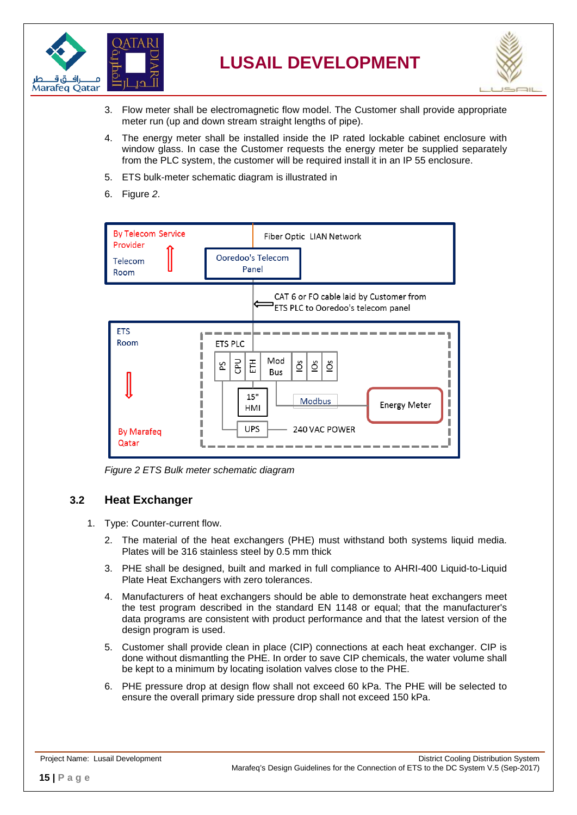

<span id="page-14-2"></span>

- 3. Flow meter shall be electromagnetic flow model. The Customer shall provide appropriate meter run (up and down stream straight lengths of pipe).
- 4. The energy meter shall be installed inside the IP rated lockable cabinet enclosure with window glass. In case the Customer requests the energy meter be supplied separately from the PLC system, the customer will be required install it in an IP 55 enclosure.
- 5. ETS bulk-meter schematic diagram is illustrated in
- 6. [Figure](#page-14-2) *2*.



*Figure 2 ETS Bulk meter schematic diagram*

#### <span id="page-14-1"></span><span id="page-14-0"></span>**3.2 Heat Exchanger**

- 1. Type: Counter-current flow.
	- 2. The material of the heat exchangers (PHE) must withstand both systems liquid media. Plates will be 316 stainless steel by 0.5 mm thick
	- 3. PHE shall be designed, built and marked in full compliance to AHRI-400 Liquid-to-Liquid Plate Heat Exchangers with zero tolerances.
	- 4. Manufacturers of heat exchangers should be able to demonstrate heat exchangers meet the test program described in the standard EN 1148 or equal; that the manufacturer's data programs are consistent with product performance and that the latest version of the design program is used.
	- 5. Customer shall provide clean in place (CIP) connections at each heat exchanger. CIP is done without dismantling the PHE. In order to save CIP chemicals, the water volume shall be kept to a minimum by locating isolation valves close to the PHE.
	- 6. PHE pressure drop at design flow shall not exceed 60 kPa. The PHE will be selected to ensure the overall primary side pressure drop shall not exceed 150 kPa.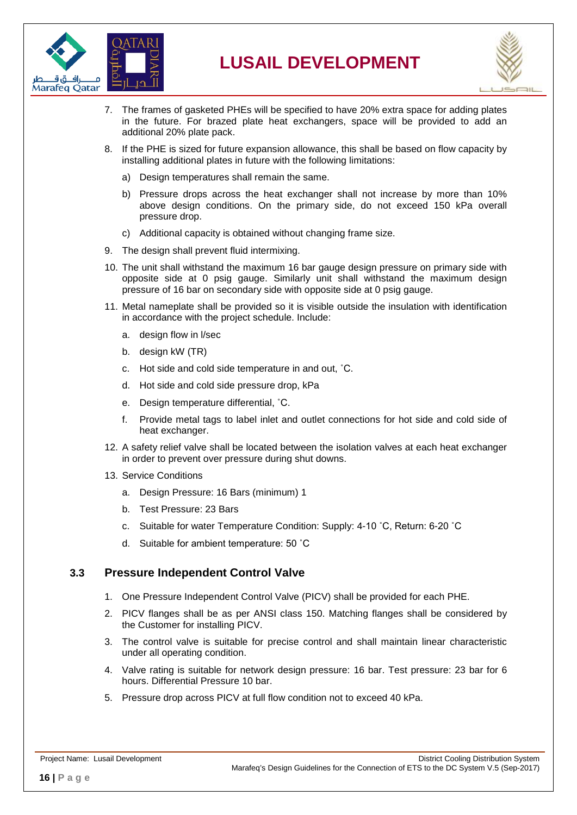



- 7. The frames of gasketed PHEs will be specified to have 20% extra space for adding plates in the future. For brazed plate heat exchangers, space will be provided to add an additional 20% plate pack.
- 8. If the PHE is sized for future expansion allowance, this shall be based on flow capacity by installing additional plates in future with the following limitations:
	- a) Design temperatures shall remain the same.
	- b) Pressure drops across the heat exchanger shall not increase by more than 10% above design conditions. On the primary side, do not exceed 150 kPa overall pressure drop.
	- c) Additional capacity is obtained without changing frame size.
- 9. The design shall prevent fluid intermixing.
- 10. The unit shall withstand the maximum 16 bar gauge design pressure on primary side with opposite side at 0 psig gauge. Similarly unit shall withstand the maximum design pressure of 16 bar on secondary side with opposite side at 0 psig gauge.
- 11. Metal nameplate shall be provided so it is visible outside the insulation with identification in accordance with the project schedule. Include:
	- a. design flow in l/sec
	- b. design kW (TR)
	- c. Hot side and cold side temperature in and out, ˚C.
	- d. Hot side and cold side pressure drop, kPa
	- e. Design temperature differential, ˚C.
	- f. Provide metal tags to label inlet and outlet connections for hot side and cold side of heat exchanger.
- 12. A safety relief valve shall be located between the isolation valves at each heat exchanger in order to prevent over pressure during shut downs.
- 13. Service Conditions
	- a. Design Pressure: 16 Bars (minimum) 1
	- b. Test Pressure: 23 Bars
	- c. Suitable for water Temperature Condition: Supply: 4-10 ˚C, Return: 6-20 ˚C
	- d. Suitable for ambient temperature: 50 ˚C

#### <span id="page-15-0"></span>**3.3 Pressure Independent Control Valve**

- 1. One Pressure Independent Control Valve (PICV) shall be provided for each PHE.
- 2. PICV flanges shall be as per ANSI class 150. Matching flanges shall be considered by the Customer for installing PICV.
- 3. The control valve is suitable for precise control and shall maintain linear characteristic under all operating condition.
- 4. Valve rating is suitable for network design pressure: 16 bar. Test pressure: 23 bar for 6 hours. Differential Pressure 10 bar.
- 5. Pressure drop across PICV at full flow condition not to exceed 40 kPa.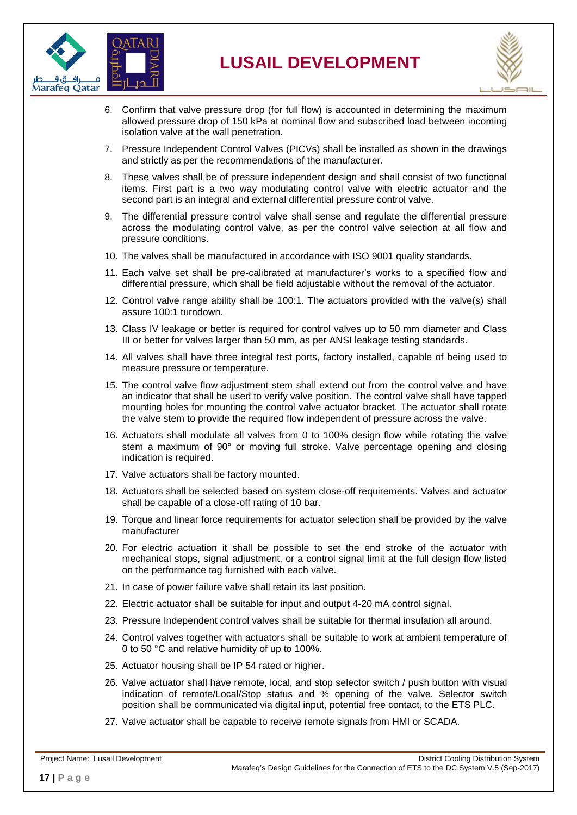



- 6. Confirm that valve pressure drop (for full flow) is accounted in determining the maximum allowed pressure drop of 150 kPa at nominal flow and subscribed load between incoming isolation valve at the wall penetration.
- 7. Pressure Independent Control Valves (PICVs) shall be installed as shown in the drawings and strictly as per the recommendations of the manufacturer.
- 8. These valves shall be of pressure independent design and shall consist of two functional items. First part is a two way modulating control valve with electric actuator and the second part is an integral and external differential pressure control valve.
- 9. The differential pressure control valve shall sense and regulate the differential pressure across the modulating control valve, as per the control valve selection at all flow and pressure conditions.
- 10. The valves shall be manufactured in accordance with ISO 9001 quality standards.
- 11. Each valve set shall be pre-calibrated at manufacturer's works to a specified flow and differential pressure, which shall be field adjustable without the removal of the actuator.
- 12. Control valve range ability shall be 100:1. The actuators provided with the valve(s) shall assure 100:1 turndown.
- 13. Class IV leakage or better is required for control valves up to 50 mm diameter and Class III or better for valves larger than 50 mm, as per ANSI leakage testing standards.
- 14. All valves shall have three integral test ports, factory installed, capable of being used to measure pressure or temperature.
- 15. The control valve flow adjustment stem shall extend out from the control valve and have an indicator that shall be used to verify valve position. The control valve shall have tapped mounting holes for mounting the control valve actuator bracket. The actuator shall rotate the valve stem to provide the required flow independent of pressure across the valve.
- 16. Actuators shall modulate all valves from 0 to 100% design flow while rotating the valve stem a maximum of 90° or moving full stroke. Valve percentage opening and closing indication is required.
- 17. Valve actuators shall be factory mounted.
- 18. Actuators shall be selected based on system close-off requirements. Valves and actuator shall be capable of a close-off rating of 10 bar.
- 19. Torque and linear force requirements for actuator selection shall be provided by the valve manufacturer
- 20. For electric actuation it shall be possible to set the end stroke of the actuator with mechanical stops, signal adjustment, or a control signal limit at the full design flow listed on the performance tag furnished with each valve.
- 21. In case of power failure valve shall retain its last position.
- 22. Electric actuator shall be suitable for input and output 4-20 mA control signal.
- 23. Pressure Independent control valves shall be suitable for thermal insulation all around.
- 24. Control valves together with actuators shall be suitable to work at ambient temperature of 0 to 50 °C and relative humidity of up to 100%.
- 25. Actuator housing shall be IP 54 rated or higher.
- 26. Valve actuator shall have remote, local, and stop selector switch / push button with visual indication of remote/Local/Stop status and % opening of the valve. Selector switch position shall be communicated via digital input, potential free contact, to the ETS PLC.
- 27. Valve actuator shall be capable to receive remote signals from HMI or SCADA.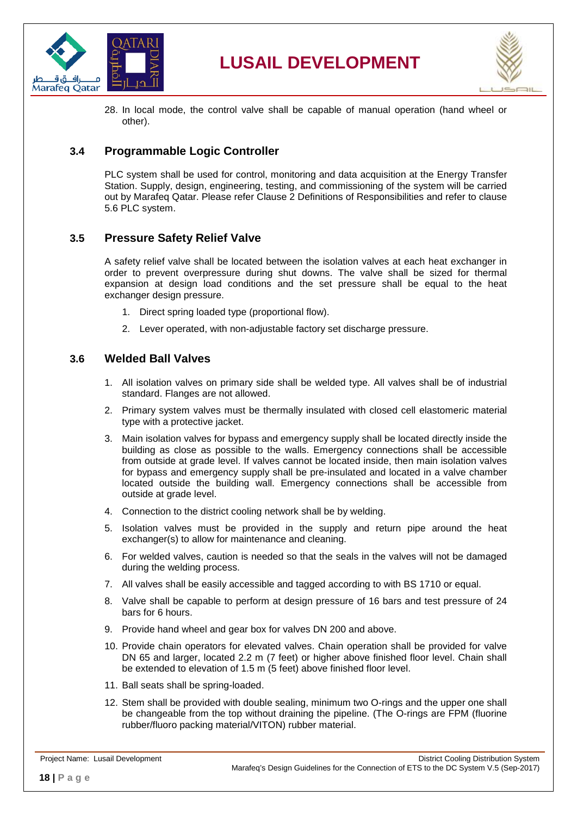



28. In local mode, the control valve shall be capable of manual operation (hand wheel or other).

#### <span id="page-17-0"></span>**3.4 Programmable Logic Controller**

PLC system shall be used for control, monitoring and data acquisition at the Energy Transfer Station. Supply, design, engineering, testing, and commissioning of the system will be carried out by Marafeq Qatar. Please refer Clause 2 Definitions of Responsibilities and refer to clause 5.6 PLC system.

#### <span id="page-17-1"></span>**3.5 Pressure Safety Relief Valve**

A safety relief valve shall be located between the isolation valves at each heat exchanger in order to prevent overpressure during shut downs. The valve shall be sized for thermal expansion at design load conditions and the set pressure shall be equal to the heat exchanger design pressure.

- 1. Direct spring loaded type (proportional flow).
- 2. Lever operated, with non-adjustable factory set discharge pressure.

#### <span id="page-17-2"></span>**3.6 Welded Ball Valves**

- 1. All isolation valves on primary side shall be welded type. All valves shall be of industrial standard. Flanges are not allowed.
- 2. Primary system valves must be thermally insulated with closed cell elastomeric material type with a protective jacket.
- 3. Main isolation valves for bypass and emergency supply shall be located directly inside the building as close as possible to the walls. Emergency connections shall be accessible from outside at grade level. If valves cannot be located inside, then main isolation valves for bypass and emergency supply shall be pre-insulated and located in a valve chamber located outside the building wall. Emergency connections shall be accessible from outside at grade level.
- 4. Connection to the district cooling network shall be by welding.
- 5. Isolation valves must be provided in the supply and return pipe around the heat exchanger(s) to allow for maintenance and cleaning.
- 6. For welded valves, caution is needed so that the seals in the valves will not be damaged during the welding process.
- 7. All valves shall be easily accessible and tagged according to with BS 1710 or equal.
- 8. Valve shall be capable to perform at design pressure of 16 bars and test pressure of 24 bars for 6 hours.
- 9. Provide hand wheel and gear box for valves DN 200 and above.
- 10. Provide chain operators for elevated valves. Chain operation shall be provided for valve DN 65 and larger, located 2.2 m (7 feet) or higher above finished floor level. Chain shall be extended to elevation of 1.5 m (5 feet) above finished floor level.
- 11. Ball seats shall be spring-loaded.
- 12. Stem shall be provided with double sealing, minimum two O-rings and the upper one shall be changeable from the top without draining the pipeline. (The O-rings are FPM (fluorine rubber/fluoro packing material/VITON) rubber material.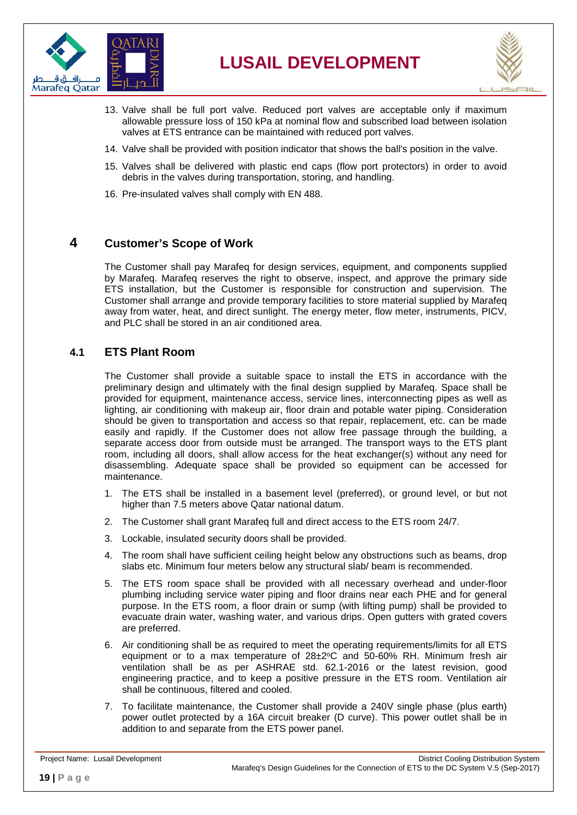



- 13. Valve shall be full port valve. Reduced port valves are acceptable only if maximum allowable pressure loss of 150 kPa at nominal flow and subscribed load between isolation valves at ETS entrance can be maintained with reduced port valves.
- 14. Valve shall be provided with position indicator that shows the ball's position in the valve.
- 15. Valves shall be delivered with plastic end caps (flow port protectors) in order to avoid debris in the valves during transportation, storing, and handling.
- 16. Pre-insulated valves shall comply with EN 488.

#### <span id="page-18-0"></span>**4 Customer's Scope of Work**

The Customer shall pay Marafeq for design services, equipment, and components supplied by Marafeq. Marafeq reserves the right to observe, inspect, and approve the primary side ETS installation, but the Customer is responsible for construction and supervision. The Customer shall arrange and provide temporary facilities to store material supplied by Marafeq away from water, heat, and direct sunlight. The energy meter, flow meter, instruments, PICV, and PLC shall be stored in an air conditioned area.

#### <span id="page-18-1"></span>**4.1 ETS Plant Room**

The Customer shall provide a suitable space to install the ETS in accordance with the preliminary design and ultimately with the final design supplied by Marafeq. Space shall be provided for equipment, maintenance access, service lines, interconnecting pipes as well as lighting, air conditioning with makeup air, floor drain and potable water piping. Consideration should be given to transportation and access so that repair, replacement, etc. can be made easily and rapidly. If the Customer does not allow free passage through the building, a separate access door from outside must be arranged. The transport ways to the ETS plant room, including all doors, shall allow access for the heat exchanger(s) without any need for disassembling. Adequate space shall be provided so equipment can be accessed for maintenance.

- 1. The ETS shall be installed in a basement level (preferred), or ground level, or but not higher than 7.5 meters above Qatar national datum.
- 2. The Customer shall grant Marafeq full and direct access to the ETS room 24/7.
- 3. Lockable, insulated security doors shall be provided.
- 4. The room shall have sufficient ceiling height below any obstructions such as beams, drop slabs etc. Minimum four meters below any structural slab/ beam is recommended.
- 5. The ETS room space shall be provided with all necessary overhead and under-floor plumbing including service water piping and floor drains near each PHE and for general purpose. In the ETS room, a floor drain or sump (with lifting pump) shall be provided to evacuate drain water, washing water, and various drips. Open gutters with grated covers are preferred.
- 6. Air conditioning shall be as required to meet the operating requirements/limits for all ETS equipment or to a max temperature of  $28\pm2^{\circ}$ C and 50-60% RH. Minimum fresh air ventilation shall be as per ASHRAE std. 62.1-2016 or the latest revision, good engineering practice, and to keep a positive pressure in the ETS room. Ventilation air shall be continuous, filtered and cooled.
- 7. To facilitate maintenance, the Customer shall provide a 240V single phase (plus earth) power outlet protected by a 16A circuit breaker (D curve). This power outlet shall be in addition to and separate from the ETS power panel.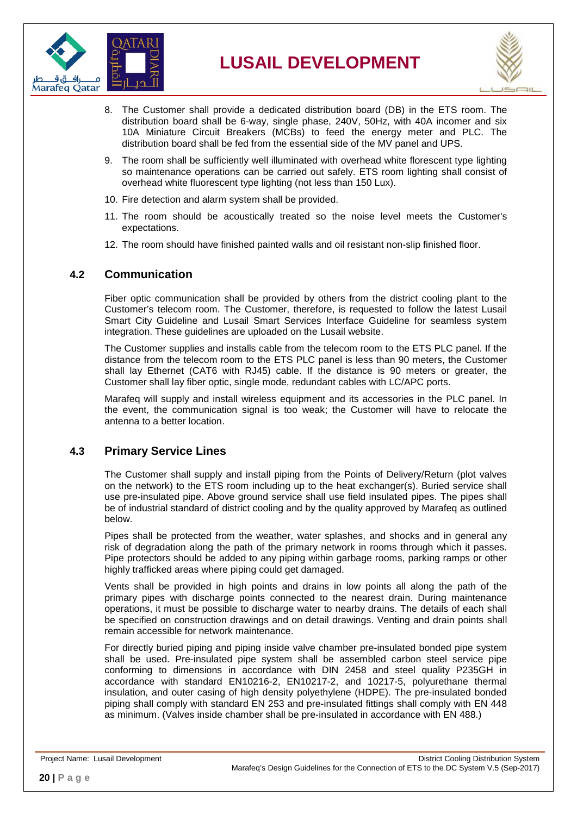



- 8. The Customer shall provide a dedicated distribution board (DB) in the ETS room. The distribution board shall be 6-way, single phase, 240V, 50Hz, with 40A incomer and six 10A Miniature Circuit Breakers (MCBs) to feed the energy meter and PLC. The distribution board shall be fed from the essential side of the MV panel and UPS.
- 9. The room shall be sufficiently well illuminated with overhead white florescent type lighting so maintenance operations can be carried out safely. ETS room lighting shall consist of overhead white fluorescent type lighting (not less than 150 Lux).
- 10. Fire detection and alarm system shall be provided.
- 11. The room should be acoustically treated so the noise level meets the Customer's expectations.
- 12. The room should have finished painted walls and oil resistant non-slip finished floor.

#### <span id="page-19-0"></span>**4.2 Communication**

Fiber optic communication shall be provided by others from the district cooling plant to the Customer's telecom room. The Customer, therefore, is requested to follow the latest Lusail Smart City Guideline and Lusail Smart Services Interface Guideline for seamless system integration. These guidelines are uploaded on the Lusail website.

The Customer supplies and installs cable from the telecom room to the ETS PLC panel. If the distance from the telecom room to the ETS PLC panel is less than 90 meters, the Customer shall lay Ethernet (CAT6 with RJ45) cable. If the distance is 90 meters or greater, the Customer shall lay fiber optic, single mode, redundant cables with LC/APC ports.

Marafeq will supply and install wireless equipment and its accessories in the PLC panel. In the event, the communication signal is too weak; the Customer will have to relocate the antenna to a better location.

#### <span id="page-19-1"></span>**4.3 Primary Service Lines**

The Customer shall supply and install piping from the Points of Delivery/Return (plot valves on the network) to the ETS room including up to the heat exchanger(s). Buried service shall use pre-insulated pipe. Above ground service shall use field insulated pipes. The pipes shall be of industrial standard of district cooling and by the quality approved by Marafeq as outlined below.

Pipes shall be protected from the weather, water splashes, and shocks and in general any risk of degradation along the path of the primary network in rooms through which it passes. Pipe protectors should be added to any piping within garbage rooms, parking ramps or other highly trafficked areas where piping could get damaged.

Vents shall be provided in high points and drains in low points all along the path of the primary pipes with discharge points connected to the nearest drain. During maintenance operations, it must be possible to discharge water to nearby drains. The details of each shall be specified on construction drawings and on detail drawings. Venting and drain points shall remain accessible for network maintenance.

For directly buried piping and piping inside valve chamber pre-insulated bonded pipe system shall be used. Pre-insulated pipe system shall be assembled carbon steel service pipe conforming to dimensions in accordance with DIN 2458 and steel quality P235GH in accordance with standard EN10216-2, EN10217-2, and 10217-5, polyurethane thermal insulation, and outer casing of high density polyethylene (HDPE). The pre-insulated bonded piping shall comply with standard EN 253 and pre-insulated fittings shall comply with EN 448 as minimum. (Valves inside chamber shall be pre-insulated in accordance with EN 488.)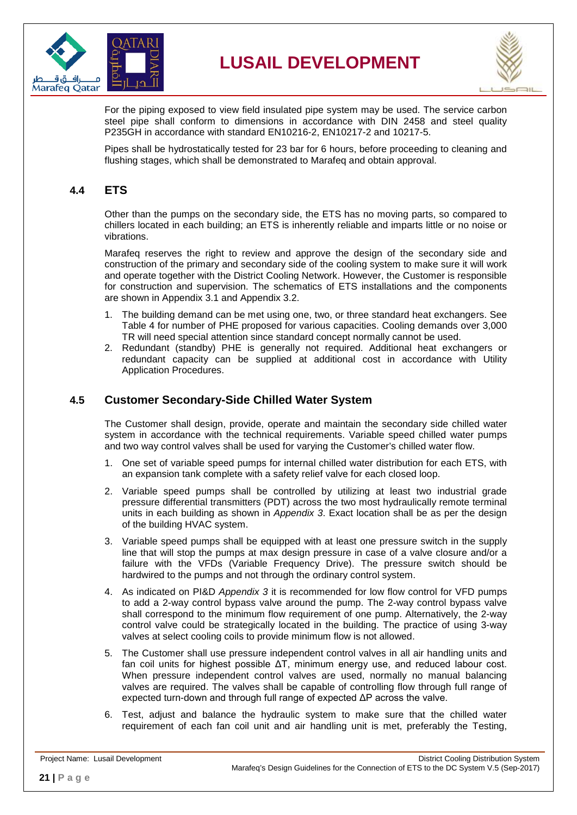



For the piping exposed to view field insulated pipe system may be used. The service carbon steel pipe shall conform to dimensions in accordance with DIN 2458 and steel quality P235GH in accordance with standard EN10216-2, EN10217-2 and 10217-5.

Pipes shall be hydrostatically tested for 23 bar for 6 hours, before proceeding to cleaning and flushing stages, which shall be demonstrated to Marafeq and obtain approval.

#### <span id="page-20-0"></span>**4.4 ETS**

Other than the pumps on the secondary side, the ETS has no moving parts, so compared to chillers located in each building; an ETS is inherently reliable and imparts little or no noise or vibrations.

Marafeq reserves the right to review and approve the design of the secondary side and construction of the primary and secondary side of the cooling system to make sure it will work and operate together with the District Cooling Network. However, the Customer is responsible for construction and supervision. The schematics of ETS installations and the components are shown in Appendix 3.1 and Appendix 3.2.

- 1. The building demand can be met using one, two, or three standard heat exchangers. See Table 4 for number of PHE proposed for various capacities. Cooling demands over 3,000 TR will need special attention since standard concept normally cannot be used.
- 2. Redundant (standby) PHE is generally not required. Additional heat exchangers or redundant capacity can be supplied at additional cost in accordance with Utility Application Procedures.

#### <span id="page-20-1"></span>**4.5 Customer Secondary-Side Chilled Water System**

The Customer shall design, provide, operate and maintain the secondary side chilled water system in accordance with the technical requirements. Variable speed chilled water pumps and two way control valves shall be used for varying the Customer's chilled water flow.

- 1. One set of variable speed pumps for internal chilled water distribution for each ETS, with an expansion tank complete with a safety relief valve for each closed loop.
- 2. Variable speed pumps shall be controlled by utilizing at least two industrial grade pressure differential transmitters (PDT) across the two most hydraulically remote terminal units in each building as shown in *Appendix 3*. Exact location shall be as per the design of the building HVAC system.
- 3. Variable speed pumps shall be equipped with at least one pressure switch in the supply line that will stop the pumps at max design pressure in case of a valve closure and/or a failure with the VFDs (Variable Frequency Drive). The pressure switch should be hardwired to the pumps and not through the ordinary control system.
- 4. As indicated on PI&D *Appendix 3* it is recommended for low flow control for VFD pumps to add a 2-way control bypass valve around the pump. The 2-way control bypass valve shall correspond to the minimum flow requirement of one pump. Alternatively, the 2-way control valve could be strategically located in the building. The practice of using 3-way valves at select cooling coils to provide minimum flow is not allowed.
- 5. The Customer shall use pressure independent control valves in all air handling units and fan coil units for highest possible ΔT, minimum energy use, and reduced labour cost. When pressure independent control valves are used, normally no manual balancing valves are required. The valves shall be capable of controlling flow through full range of expected turn-down and through full range of expected ΔP across the valve.
- 6. Test, adjust and balance the hydraulic system to make sure that the chilled water requirement of each fan coil unit and air handling unit is met, preferably the Testing,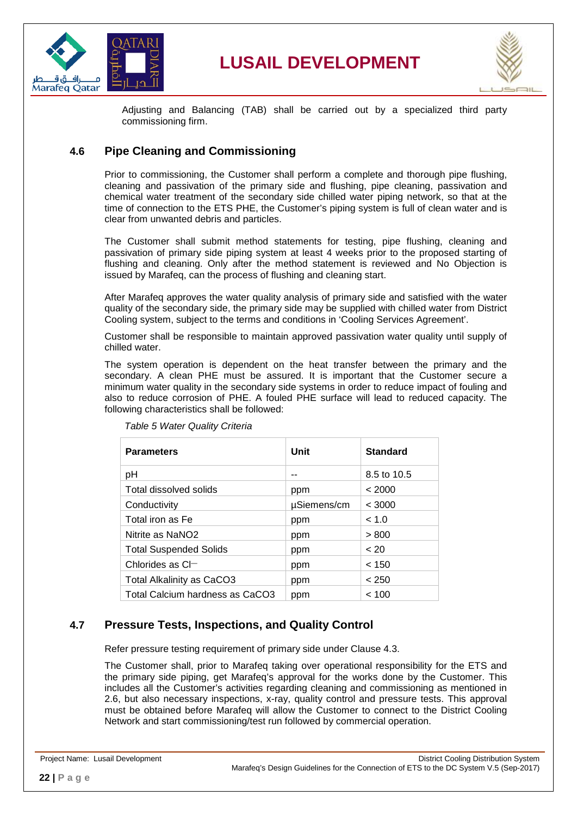



Adjusting and Balancing (TAB) shall be carried out by a specialized third party commissioning firm.

#### <span id="page-21-0"></span>**4.6 Pipe Cleaning and Commissioning**

Prior to commissioning, the Customer shall perform a complete and thorough pipe flushing, cleaning and passivation of the primary side and flushing, pipe cleaning, passivation and chemical water treatment of the secondary side chilled water piping network, so that at the time of connection to the ETS PHE, the Customer's piping system is full of clean water and is clear from unwanted debris and particles.

The Customer shall submit method statements for testing, pipe flushing, cleaning and passivation of primary side piping system at least 4 weeks prior to the proposed starting of flushing and cleaning. Only after the method statement is reviewed and No Objection is issued by Marafeq, can the process of flushing and cleaning start.

After Marafeq approves the water quality analysis of primary side and satisfied with the water quality of the secondary side, the primary side may be supplied with chilled water from District Cooling system, subject to the terms and conditions in 'Cooling Services Agreement'.

Customer shall be responsible to maintain approved passivation water quality until supply of chilled water.

The system operation is dependent on the heat transfer between the primary and the secondary. A clean PHE must be assured. It is important that the Customer secure a minimum water quality in the secondary side systems in order to reduce impact of fouling and also to reduce corrosion of PHE. A fouled PHE surface will lead to reduced capacity. The following characteristics shall be followed:

<span id="page-21-2"></span>

| <b>Parameters</b>                | Unit        | <b>Standard</b> |
|----------------------------------|-------------|-----------------|
| рH                               | --          | 8.5 to 10.5     |
| Total dissolved solids           | ppm         | < 2000          |
| Conductivity                     | µSiemens/cm | < 3000          |
| Total iron as Fe                 | ppm         | ~< 1.0          |
| Nitrite as NaNO <sub>2</sub>     | ppm         | > 800           |
| <b>Total Suspended Solids</b>    | ppm         | $~<$ 20         |
| Chlorides as $Cl-$               | ppm         | < 150           |
| <b>Total Alkalinity as CaCO3</b> | ppm         | < 250           |
| Total Calcium hardness as CaCO3  | ppm         | ~< 100          |

*Table 5 Water Quality Criteria*

#### <span id="page-21-1"></span>**4.7 Pressure Tests, Inspections, and Quality Control**

Refer pressure testing requirement of primary side under Clause [4.3.](#page-19-1)

The Customer shall, prior to Marafeq taking over operational responsibility for the ETS and the primary side piping, get Marafeq's approval for the works done by the Customer. This includes all the Customer's activities regarding cleaning and commissioning as mentioned in 2.6, but also necessary inspections, x-ray, quality control and pressure tests. This approval must be obtained before Marafeq will allow the Customer to connect to the District Cooling Network and start commissioning/test run followed by commercial operation.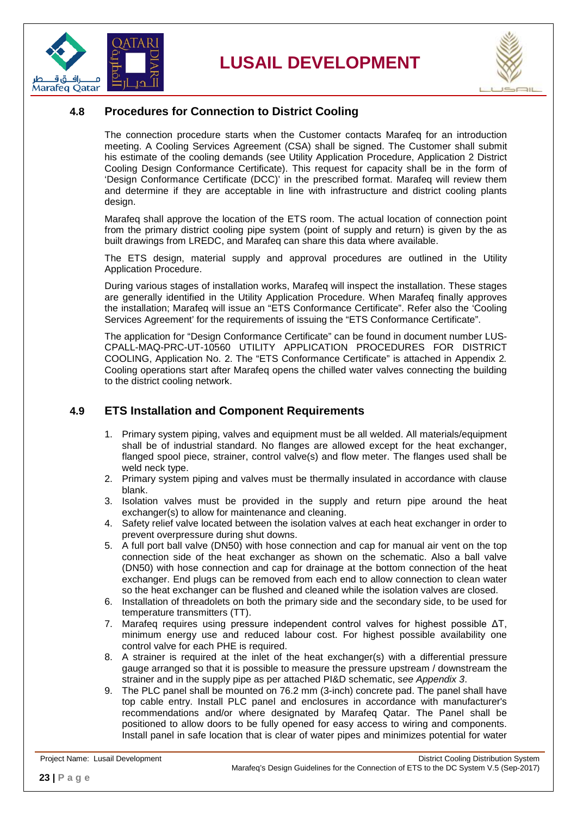



#### <span id="page-22-0"></span>**4.8 Procedures for Connection to District Cooling**

The connection procedure starts when the Customer contacts Marafeq for an introduction meeting. A Cooling Services Agreement (CSA) shall be signed. The Customer shall submit his estimate of the cooling demands (see Utility Application Procedure, Application 2 District Cooling Design Conformance Certificate). This request for capacity shall be in the form of 'Design Conformance Certificate (DCC)' in the prescribed format. Marafeq will review them and determine if they are acceptable in line with infrastructure and district cooling plants design.

Marafeq shall approve the location of the ETS room. The actual location of connection point from the primary district cooling pipe system (point of supply and return) is given by the as built drawings from LREDC, and Marafeq can share this data where available.

The ETS design, material supply and approval procedures are outlined in the Utility Application Procedure.

During various stages of installation works, Marafeq will inspect the installation. These stages are generally identified in the Utility Application Procedure. When Marafeq finally approves the installation; Marafeq will issue an "ETS Conformance Certificate". Refer also the 'Cooling Services Agreement' for the requirements of issuing the "ETS Conformance Certificate".

The application for "Design Conformance Certificate" can be found in document number LUS-CPALL-MAQ-PRC-UT-10560 UTILITY APPLICATION PROCEDURES FOR DISTRICT COOLING, Application No. 2. The "ETS Conformance Certificate" is attached in Appendix 2*.*  Cooling operations start after Marafeq opens the chilled water valves connecting the building to the district cooling network.

#### <span id="page-22-1"></span>**4.9 ETS Installation and Component Requirements**

- 1. Primary system piping, valves and equipment must be all welded. All materials/equipment shall be of industrial standard. No flanges are allowed except for the heat exchanger, flanged spool piece, strainer, control valve(s) and flow meter. The flanges used shall be weld neck type.
- 2. Primary system piping and valves must be thermally insulated in accordance with clause blank.
- 3. Isolation valves must be provided in the supply and return pipe around the heat exchanger(s) to allow for maintenance and cleaning.
- 4. Safety relief valve located between the isolation valves at each heat exchanger in order to prevent overpressure during shut downs.
- 5. A full port ball valve (DN50) with hose connection and cap for manual air vent on the top connection side of the heat exchanger as shown on the schematic. Also a ball valve (DN50) with hose connection and cap for drainage at the bottom connection of the heat exchanger. End plugs can be removed from each end to allow connection to clean water so the heat exchanger can be flushed and cleaned while the isolation valves are closed.
- 6. Installation of threadolets on both the primary side and the secondary side, to be used for temperature transmitters (TT).
- 7. Marafeq requires using pressure independent control valves for highest possible ΔT, minimum energy use and reduced labour cost. For highest possible availability one control valve for each PHE is required.
- 8. A strainer is required at the inlet of the heat exchanger(s) with a differential pressure gauge arranged so that it is possible to measure the pressure upstream / downstream the strainer and in the supply pipe as per attached PI&D schematic, s*ee Appendix 3*.
- 9. The PLC panel shall be mounted on 76.2 mm (3-inch) concrete pad. The panel shall have top cable entry. Install PLC panel and enclosures in accordance with manufacturer's recommendations and/or where designated by Marafeq Qatar. The Panel shall be positioned to allow doors to be fully opened for easy access to wiring and components. Install panel in safe location that is clear of water pipes and minimizes potential for water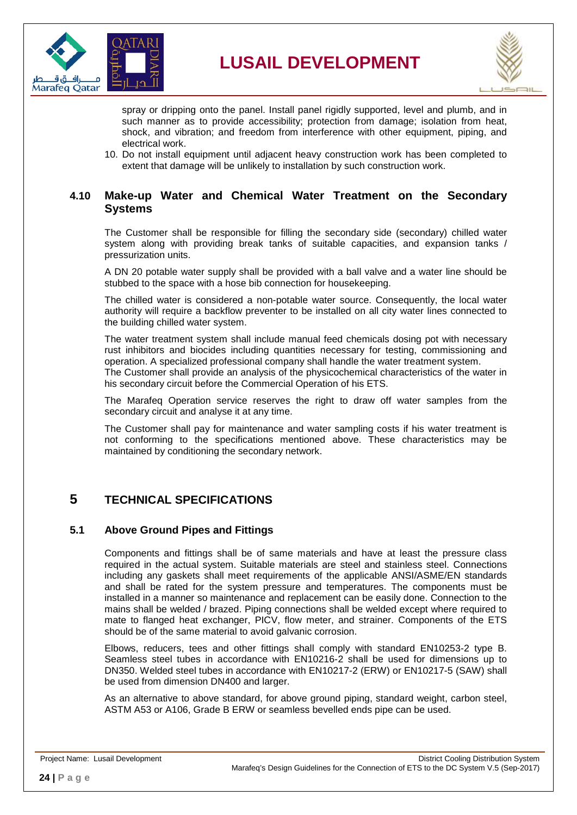



spray or dripping onto the panel. Install panel rigidly supported, level and plumb, and in such manner as to provide accessibility; protection from damage; isolation from heat, shock, and vibration; and freedom from interference with other equipment, piping, and electrical work.

10. Do not install equipment until adjacent heavy construction work has been completed to extent that damage will be unlikely to installation by such construction work.

#### <span id="page-23-0"></span>**4.10 Make-up Water and Chemical Water Treatment on the Secondary Systems**

The Customer shall be responsible for filling the secondary side (secondary) chilled water system along with providing break tanks of suitable capacities, and expansion tanks / pressurization units.

A DN 20 potable water supply shall be provided with a ball valve and a water line should be stubbed to the space with a hose bib connection for housekeeping.

The chilled water is considered a non-potable water source. Consequently, the local water authority will require a backflow preventer to be installed on all city water lines connected to the building chilled water system.

The water treatment system shall include manual feed chemicals dosing pot with necessary rust inhibitors and biocides including quantities necessary for testing, commissioning and operation. A specialized professional company shall handle the water treatment system.

The Customer shall provide an analysis of the physicochemical characteristics of the water in his secondary circuit before the Commercial Operation of his ETS.

The Marafeq Operation service reserves the right to draw off water samples from the secondary circuit and analyse it at any time.

The Customer shall pay for maintenance and water sampling costs if his water treatment is not conforming to the specifications mentioned above. These characteristics may be maintained by conditioning the secondary network.

#### <span id="page-23-1"></span>**5 TECHNICAL SPECIFICATIONS**

#### <span id="page-23-2"></span>**5.1 Above Ground Pipes and Fittings**

Components and fittings shall be of same materials and have at least the pressure class required in the actual system. Suitable materials are steel and stainless steel. Connections including any gaskets shall meet requirements of the applicable ANSI/ASME/EN standards and shall be rated for the system pressure and temperatures. The components must be installed in a manner so maintenance and replacement can be easily done. Connection to the mains shall be welded / brazed. Piping connections shall be welded except where required to mate to flanged heat exchanger, PICV, flow meter, and strainer. Components of the ETS should be of the same material to avoid galvanic corrosion.

Elbows, reducers, tees and other fittings shall comply with standard EN10253-2 type B. Seamless steel tubes in accordance with EN10216-2 shall be used for dimensions up to DN350. Welded steel tubes in accordance with EN10217-2 (ERW) or EN10217-5 (SAW) shall be used from dimension DN400 and larger.

As an alternative to above standard, for above ground piping, standard weight, carbon steel, ASTM A53 or A106, Grade B ERW or seamless bevelled ends pipe can be used.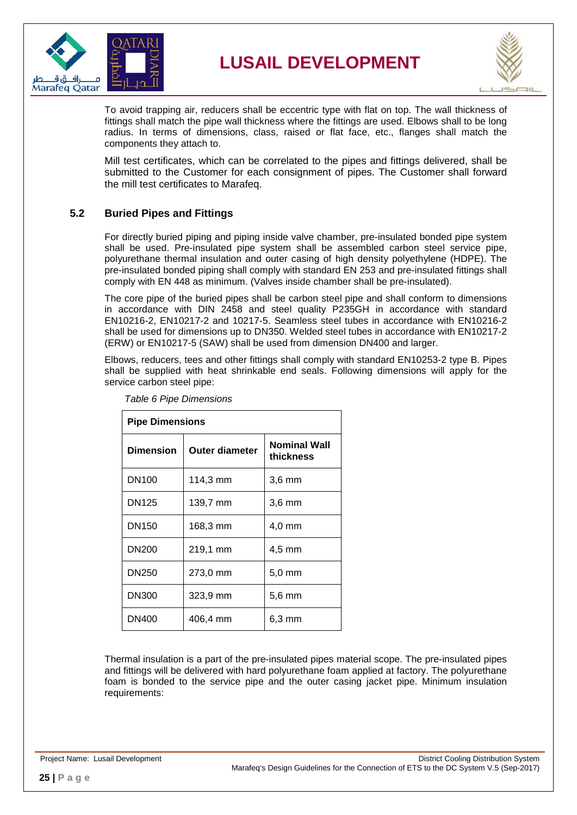



To avoid trapping air, reducers shall be eccentric type with flat on top. The wall thickness of fittings shall match the pipe wall thickness where the fittings are used. Elbows shall to be long radius. In terms of dimensions, class, raised or flat face, etc., flanges shall match the components they attach to.

Mill test certificates, which can be correlated to the pipes and fittings delivered, shall be submitted to the Customer for each consignment of pipes. The Customer shall forward the mill test certificates to Marafeq.

#### <span id="page-24-0"></span>**5.2 Buried Pipes and Fittings**

For directly buried piping and piping inside valve chamber, pre-insulated bonded pipe system shall be used. Pre-insulated pipe system shall be assembled carbon steel service pipe, polyurethane thermal insulation and outer casing of high density polyethylene (HDPE). The pre-insulated bonded piping shall comply with standard EN 253 and pre-insulated fittings shall comply with EN 448 as minimum. (Valves inside chamber shall be pre-insulated).

The core pipe of the buried pipes shall be carbon steel pipe and shall conform to dimensions in accordance with DIN 2458 and steel quality P235GH in accordance with standard EN10216-2, EN10217-2 and 10217-5. Seamless steel tubes in accordance with EN10216-2 shall be used for dimensions up to DN350. Welded steel tubes in accordance with EN10217-2 (ERW) or EN10217-5 (SAW) shall be used from dimension DN400 and larger.

<span id="page-24-1"></span>Elbows, reducers, tees and other fittings shall comply with standard EN10253-2 type B. Pipes shall be supplied with heat shrinkable end seals. Following dimensions will apply for the service carbon steel pipe:

| <b>Pipe Dimensions</b> |                       |                                  |  |
|------------------------|-----------------------|----------------------------------|--|
| <b>Dimension</b>       | <b>Outer diameter</b> | <b>Nominal Wall</b><br>thickness |  |
| DN <sub>100</sub>      | 114,3 mm              | 3,6 mm                           |  |
| <b>DN125</b>           | 139,7 mm              | $3,6$ mm                         |  |
| DN <sub>150</sub>      | 168,3 mm              | 4,0 mm                           |  |
| DN200                  | 219,1 mm              | $4,5$ mm                         |  |
| DN250                  | 273,0 mm              | $5,0$ mm                         |  |
| <b>DN300</b>           | 323,9 mm              | $5,6 \text{ mm}$                 |  |
| DN400                  | 406,4 mm              | 6.3 mm                           |  |

*Table 6 Pipe Dimensions*

Thermal insulation is a part of the pre-insulated pipes material scope. The pre-insulated pipes and fittings will be delivered with hard polyurethane foam applied at factory. The polyurethane foam is bonded to the service pipe and the outer casing jacket pipe. Minimum insulation requirements: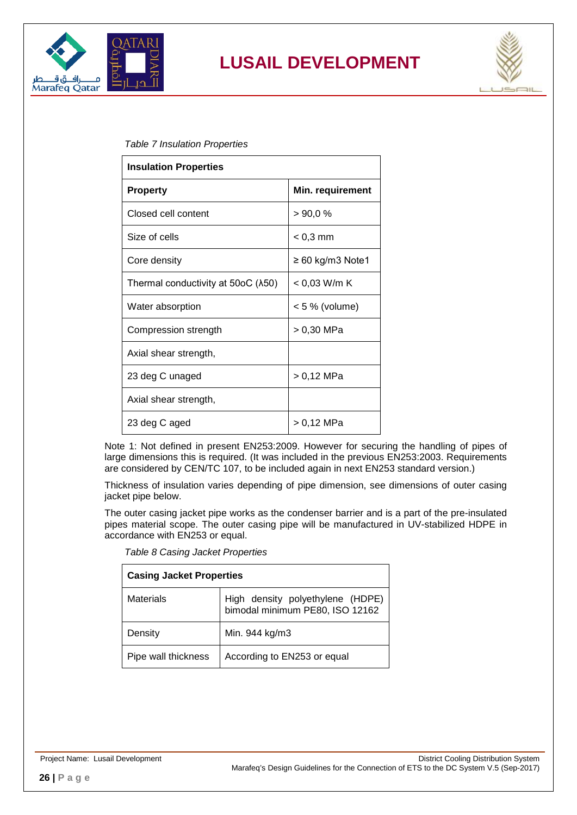



#### <span id="page-25-0"></span>*Table 7 Insulation Properties*

| <b>Insulation Properties</b>       |                       |  |
|------------------------------------|-----------------------|--|
| <b>Property</b>                    | Min. requirement      |  |
| Closed cell content                | >90,0%                |  |
| Size of cells                      | $< 0.3$ mm            |  |
| Core density                       | $\geq 60$ kg/m3 Note1 |  |
| Thermal conductivity at 50oC (λ50) | < 0,03 W/m K          |  |
| Water absorption                   | < 5 % (volume)        |  |
| Compression strength               | > 0,30 MPa            |  |
| Axial shear strength,              |                       |  |
| 23 deg C unaged                    | > 0,12 MPa            |  |
| Axial shear strength,              |                       |  |
| 23 deg C aged                      | > 0,12 MPa            |  |

Note 1: Not defined in present EN253:2009. However for securing the handling of pipes of large dimensions this is required. (It was included in the previous EN253:2003. Requirements are considered by CEN/TC 107, to be included again in next EN253 standard version.)

Thickness of insulation varies depending of pipe dimension, see dimensions of outer casing jacket pipe below.

<span id="page-25-1"></span>The outer casing jacket pipe works as the condenser barrier and is a part of the pre-insulated pipes material scope. The outer casing pipe will be manufactured in UV-stabilized HDPE in accordance with EN253 or equal.

| <b>Casing Jacket Properties</b> |                                                                     |  |
|---------------------------------|---------------------------------------------------------------------|--|
| <b>Materials</b>                | High density polyethylene (HDPE)<br>bimodal minimum PE80, ISO 12162 |  |
| Density                         | Min. 944 kg/m3                                                      |  |
| Pipe wall thickness             | According to EN253 or equal                                         |  |

*Table 8 Casing Jacket Properties*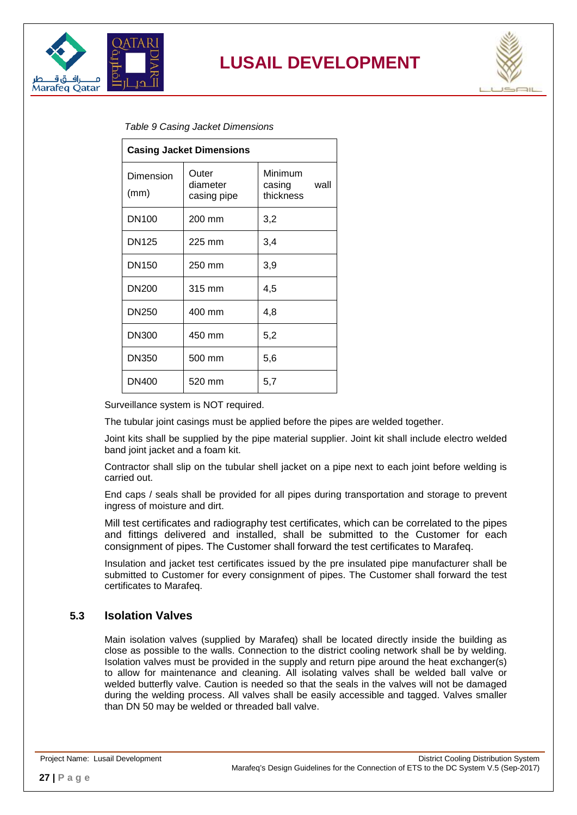



<span id="page-26-1"></span>

| <b>Table 9 Casing Jacket Dimensions</b> |  |
|-----------------------------------------|--|
|-----------------------------------------|--|

| <b>Casing Jacket Dimensions</b> |                                  |                                        |  |
|---------------------------------|----------------------------------|----------------------------------------|--|
| Dimension<br>(mm)               | Outer<br>diameter<br>casing pipe | Minimum<br>wall<br>casing<br>thickness |  |
| DN <sub>100</sub>               | 200 mm                           | 3,2                                    |  |
| <b>DN125</b>                    | 225 mm                           | 3,4                                    |  |
| DN <sub>150</sub>               | 250 mm                           | 3,9                                    |  |
| <b>DN200</b>                    | 315 mm                           | 4,5                                    |  |
| <b>DN250</b>                    | 400 mm                           | 4,8                                    |  |
| <b>DN300</b>                    | 450 mm                           | 5,2                                    |  |
| DN350                           | 500 mm                           | 5,6                                    |  |
| <b>DN400</b>                    | 520 mm                           | 5,7                                    |  |

Surveillance system is NOT required.

The tubular joint casings must be applied before the pipes are welded together.

Joint kits shall be supplied by the pipe material supplier. Joint kit shall include electro welded band joint jacket and a foam kit.

Contractor shall slip on the tubular shell jacket on a pipe next to each joint before welding is carried out.

End caps / seals shall be provided for all pipes during transportation and storage to prevent ingress of moisture and dirt.

Mill test certificates and radiography test certificates, which can be correlated to the pipes and fittings delivered and installed, shall be submitted to the Customer for each consignment of pipes. The Customer shall forward the test certificates to Marafeq.

Insulation and jacket test certificates issued by the pre insulated pipe manufacturer shall be submitted to Customer for every consignment of pipes. The Customer shall forward the test certificates to Marafeq.

#### <span id="page-26-0"></span>**5.3 Isolation Valves**

Main isolation valves (supplied by Marafeq) shall be located directly inside the building as close as possible to the walls. Connection to the district cooling network shall be by welding. Isolation valves must be provided in the supply and return pipe around the heat exchanger(s) to allow for maintenance and cleaning. All isolating valves shall be welded ball valve or welded butterfly valve. Caution is needed so that the seals in the valves will not be damaged during the welding process. All valves shall be easily accessible and tagged. Valves smaller than DN 50 may be welded or threaded ball valve.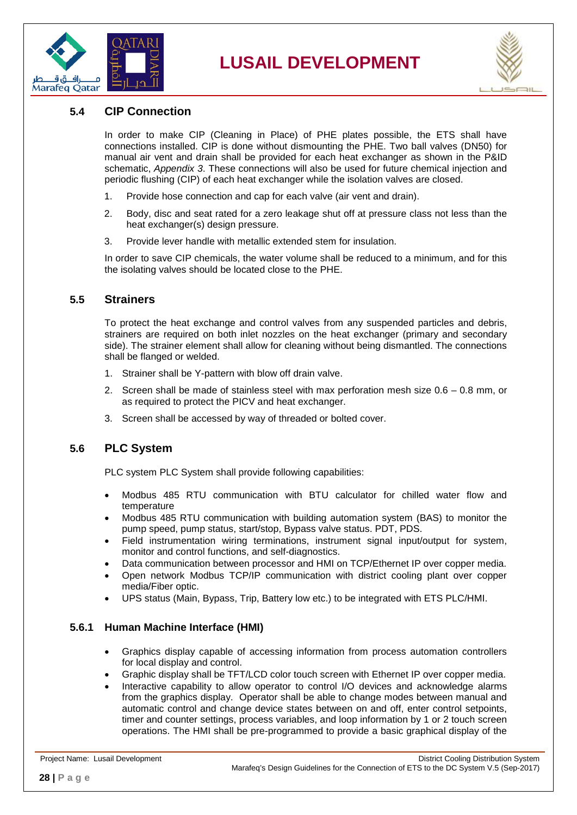



#### <span id="page-27-0"></span>**5.4 CIP Connection**

In order to make CIP (Cleaning in Place) of PHE plates possible, the ETS shall have connections installed. CIP is done without dismounting the PHE. Two ball valves (DN50) for manual air vent and drain shall be provided for each heat exchanger as shown in the P&ID schematic, *Appendix 3*. These connections will also be used for future chemical injection and periodic flushing (CIP) of each heat exchanger while the isolation valves are closed.

- 1. Provide hose connection and cap for each valve (air vent and drain).
- 2. Body, disc and seat rated for a zero leakage shut off at pressure class not less than the heat exchanger(s) design pressure.
- 3. Provide lever handle with metallic extended stem for insulation.

In order to save CIP chemicals, the water volume shall be reduced to a minimum, and for this the isolating valves should be located close to the PHE.

#### <span id="page-27-1"></span>**5.5 Strainers**

To protect the heat exchange and control valves from any suspended particles and debris, strainers are required on both inlet nozzles on the heat exchanger (primary and secondary side). The strainer element shall allow for cleaning without being dismantled. The connections shall be flanged or welded.

- 1. Strainer shall be Y-pattern with blow off drain valve.
- 2. Screen shall be made of stainless steel with max perforation mesh size  $0.6 0.8$  mm, or as required to protect the PICV and heat exchanger.
- 3. Screen shall be accessed by way of threaded or bolted cover.

#### <span id="page-27-2"></span>**5.6 PLC System**

PLC system PLC System shall provide following capabilities:

- Modbus 485 RTU communication with BTU calculator for chilled water flow and temperature
- Modbus 485 RTU communication with building automation system (BAS) to monitor the pump speed, pump status, start/stop, Bypass valve status. PDT, PDS.
- Field instrumentation wiring terminations, instrument signal input/output for system, monitor and control functions, and self-diagnostics.
- Data communication between processor and HMI on TCP/Ethernet IP over copper media.
- Open network Modbus TCP/IP communication with district cooling plant over copper media/Fiber optic.
- UPS status (Main, Bypass, Trip, Battery low etc.) to be integrated with ETS PLC/HMI.

#### <span id="page-27-3"></span>**5.6.1 Human Machine Interface (HMI)**

- Graphics display capable of accessing information from process automation controllers for local display and control.
- Graphic display shall be TFT/LCD color touch screen with Ethernet IP over copper media.
- Interactive capability to allow operator to control I/O devices and acknowledge alarms from the graphics display. Operator shall be able to change modes between manual and automatic control and change device states between on and off, enter control setpoints, timer and counter settings, process variables, and loop information by 1 or 2 touch screen operations. The HMI shall be pre-programmed to provide a basic graphical display of the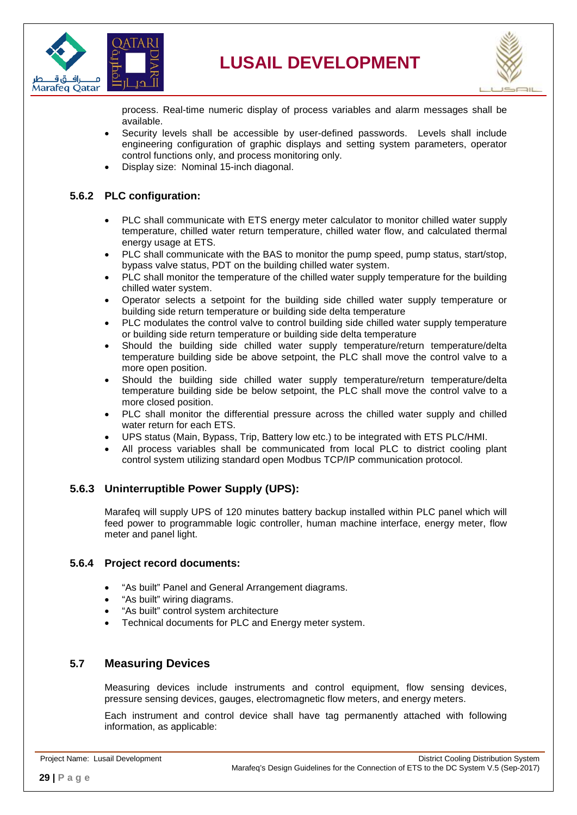



process. Real-time numeric display of process variables and alarm messages shall be available.

- Security levels shall be accessible by user-defined passwords. Levels shall include engineering configuration of graphic displays and setting system parameters, operator control functions only, and process monitoring only.
- Display size: Nominal 15-inch diagonal.

#### <span id="page-28-0"></span>**5.6.2 PLC configuration:**

- PLC shall communicate with ETS energy meter calculator to monitor chilled water supply temperature, chilled water return temperature, chilled water flow, and calculated thermal energy usage at ETS.
- PLC shall communicate with the BAS to monitor the pump speed, pump status, start/stop, bypass valve status, PDT on the building chilled water system.
- PLC shall monitor the temperature of the chilled water supply temperature for the building chilled water system.
- Operator selects a setpoint for the building side chilled water supply temperature or building side return temperature or building side delta temperature
- PLC modulates the control valve to control building side chilled water supply temperature or building side return temperature or building side delta temperature
- Should the building side chilled water supply temperature/return temperature/delta temperature building side be above setpoint, the PLC shall move the control valve to a more open position.
- Should the building side chilled water supply temperature/return temperature/delta temperature building side be below setpoint, the PLC shall move the control valve to a more closed position.
- PLC shall monitor the differential pressure across the chilled water supply and chilled water return for each ETS.
- UPS status (Main, Bypass, Trip, Battery low etc.) to be integrated with ETS PLC/HMI.
- All process variables shall be communicated from local PLC to district cooling plant control system utilizing standard open Modbus TCP/IP communication protocol.

#### <span id="page-28-1"></span>**5.6.3 Uninterruptible Power Supply (UPS):**

Marafeq will supply UPS of 120 minutes battery backup installed within PLC panel which will feed power to programmable logic controller, human machine interface, energy meter, flow meter and panel light.

#### <span id="page-28-2"></span>**5.6.4 Project record documents:**

- "As built" Panel and General Arrangement diagrams.
- "As built" wiring diagrams.
- "As built" control system architecture
- Technical documents for PLC and Energy meter system.

#### <span id="page-28-3"></span>**5.7 Measuring Devices**

Measuring devices include instruments and control equipment, flow sensing devices, pressure sensing devices, gauges, electromagnetic flow meters, and energy meters.

Each instrument and control device shall have tag permanently attached with following information, as applicable: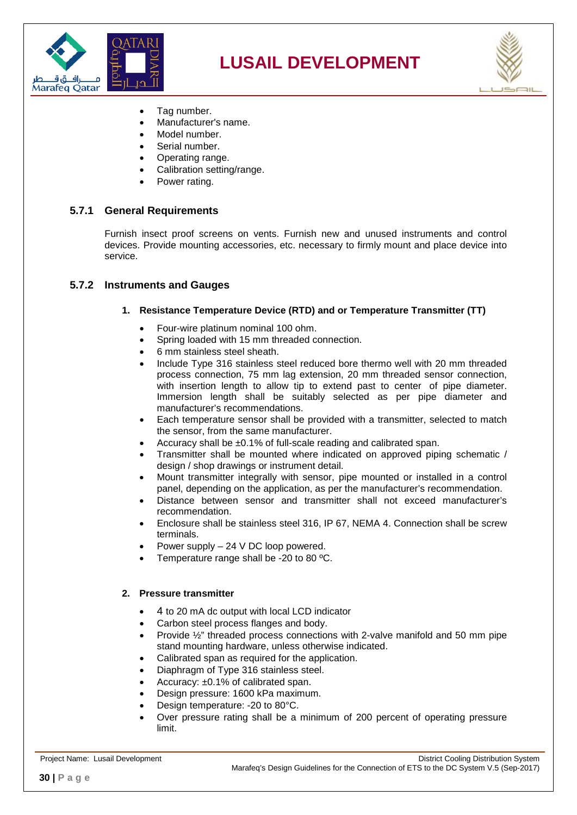



- Tag number.
- Manufacturer's name.
- Model number.
- Serial number.
- Operating range.
- Calibration setting/range.
- Power rating.

#### <span id="page-29-0"></span>**5.7.1 General Requirements**

Furnish insect proof screens on vents. Furnish new and unused instruments and control devices. Provide mounting accessories, etc. necessary to firmly mount and place device into service.

#### <span id="page-29-1"></span>**5.7.2 Instruments and Gauges**

#### **1. Resistance Temperature Device (RTD) and or Temperature Transmitter (TT)**

- Four-wire platinum nominal 100 ohm.
- Spring loaded with 15 mm threaded connection.
- 6 mm stainless steel sheath.
- Include Type 316 stainless steel reduced bore thermo well with 20 mm threaded process connection, 75 mm lag extension, 20 mm threaded sensor connection, with insertion length to allow tip to extend past to center of pipe diameter. Immersion length shall be suitably selected as per pipe diameter and manufacturer's recommendations.
- Each temperature sensor shall be provided with a transmitter, selected to match the sensor, from the same manufacturer.
- Accuracy shall be ±0.1% of full-scale reading and calibrated span.
- Transmitter shall be mounted where indicated on approved piping schematic / design / shop drawings or instrument detail.
- Mount transmitter integrally with sensor, pipe mounted or installed in a control panel, depending on the application, as per the manufacturer's recommendation.
- Distance between sensor and transmitter shall not exceed manufacturer's recommendation.
- Enclosure shall be stainless steel 316, IP 67, NEMA 4. Connection shall be screw terminals.
- Power supply 24 V DC loop powered.
- Temperature range shall be -20 to 80 ºC.

#### **2. Pressure transmitter**

- 4 to 20 mA dc output with local LCD indicator
- Carbon steel process flanges and body.
- Provide ½" threaded process connections with 2-valve manifold and 50 mm pipe stand mounting hardware, unless otherwise indicated.
- Calibrated span as required for the application.
- Diaphragm of Type 316 stainless steel.
- Accuracy: ±0.1% of calibrated span.
- Design pressure: 1600 kPa maximum.
- Design temperature: -20 to 80°C.
- Over pressure rating shall be a minimum of 200 percent of operating pressure limit.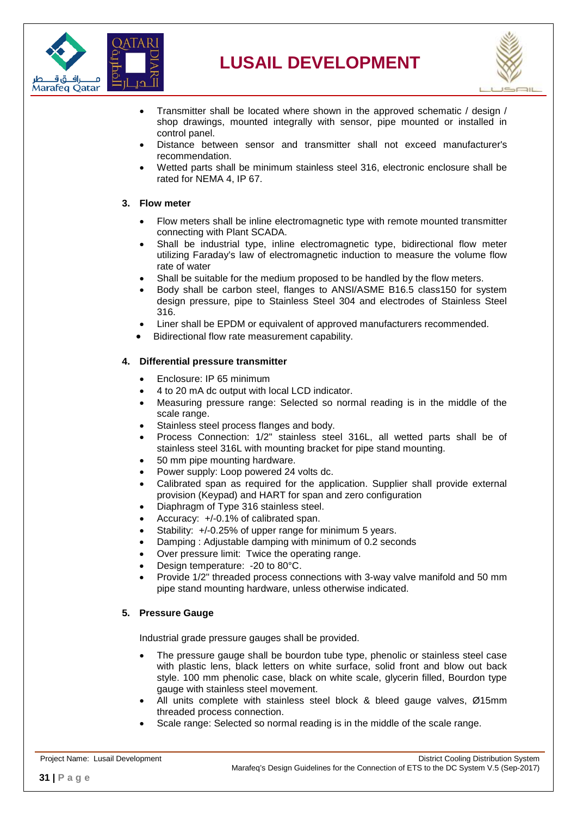



- Transmitter shall be located where shown in the approved schematic / design / shop drawings, mounted integrally with sensor, pipe mounted or installed in control panel.
- Distance between sensor and transmitter shall not exceed manufacturer's recommendation.
- Wetted parts shall be minimum stainless steel 316, electronic enclosure shall be rated for NEMA 4, IP 67.

#### **3. Flow meter**

- Flow meters shall be inline electromagnetic type with remote mounted transmitter connecting with Plant SCADA.
- Shall be industrial type, inline electromagnetic type, bidirectional flow meter utilizing Faraday's law of electromagnetic induction to measure the volume flow rate of water
- Shall be suitable for the medium proposed to be handled by the flow meters.
- Body shall be carbon steel, flanges to ANSI/ASME B16.5 class150 for system design pressure, pipe to Stainless Steel 304 and electrodes of Stainless Steel 316.
- Liner shall be EPDM or equivalent of approved manufacturers recommended.
- Bidirectional flow rate measurement capability.

#### **4. Differential pressure transmitter**

- Enclosure: IP 65 minimum
- 4 to 20 mA dc output with local LCD indicator.
- Measuring pressure range: Selected so normal reading is in the middle of the scale range.
- Stainless steel process flanges and body.
- Process Connection: 1/2" stainless steel 316L, all wetted parts shall be of stainless steel 316L with mounting bracket for pipe stand mounting.
- 50 mm pipe mounting hardware.
- Power supply: Loop powered 24 volts dc.
- Calibrated span as required for the application. Supplier shall provide external provision (Keypad) and HART for span and zero configuration
- Diaphragm of Type 316 stainless steel.
- Accuracy: +/-0.1% of calibrated span.
- Stability:  $+/-0.25%$  of upper range for minimum 5 years.
- Damping : Adjustable damping with minimum of 0.2 seconds
- Over pressure limit: Twice the operating range.
- Design temperature: 20 to 80°C.
- Provide 1/2" threaded process connections with 3-way valve manifold and 50 mm pipe stand mounting hardware, unless otherwise indicated.

#### **5. Pressure Gauge**

Industrial grade pressure gauges shall be provided.

- The pressure gauge shall be bourdon tube type, phenolic or stainless steel case with plastic lens, black letters on white surface, solid front and blow out back style. 100 mm phenolic case, black on white scale, glycerin filled, Bourdon type gauge with stainless steel movement.
- All units complete with stainless steel block & bleed gauge valves, Ø15mm threaded process connection.
- Scale range: Selected so normal reading is in the middle of the scale range.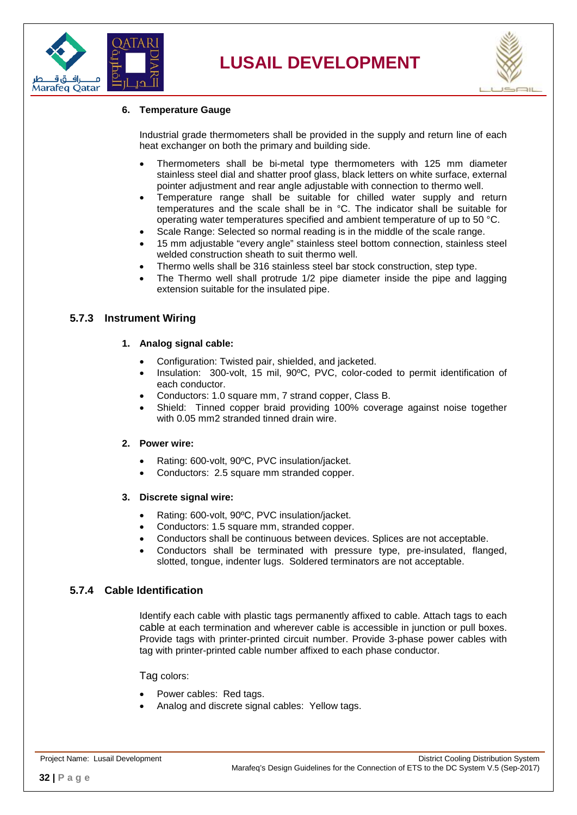



#### **6. Temperature Gauge**

Industrial grade thermometers shall be provided in the supply and return line of each heat exchanger on both the primary and building side.

- Thermometers shall be bi-metal type thermometers with 125 mm diameter stainless steel dial and shatter proof glass, black letters on white surface, external pointer adjustment and rear angle adjustable with connection to thermo well.
- Temperature range shall be suitable for chilled water supply and return temperatures and the scale shall be in °C. The indicator shall be suitable for operating water temperatures specified and ambient temperature of up to 50 °C.
- Scale Range: Selected so normal reading is in the middle of the scale range.
- 15 mm adjustable "every angle" stainless steel bottom connection, stainless steel welded construction sheath to suit thermo well.
- Thermo wells shall be 316 stainless steel bar stock construction, step type.
- The Thermo well shall protrude 1/2 pipe diameter inside the pipe and lagging extension suitable for the insulated pipe.

#### <span id="page-31-0"></span>**5.7.3 Instrument Wiring**

#### **1. Analog signal cable:**

- Configuration: Twisted pair, shielded, and jacketed.
- Insulation: 300-volt, 15 mil, 90ºC, PVC, color-coded to permit identification of each conductor.
- Conductors: 1.0 square mm, 7 strand copper, Class B.
- Shield: Tinned copper braid providing 100% coverage against noise together with 0.05 mm2 stranded tinned drain wire.

#### **2. Power wire:**

- Rating: 600-volt, 90ºC, PVC insulation/jacket.
- Conductors: 2.5 square mm stranded copper.

#### **3. Discrete signal wire:**

- Rating: 600-volt, 90ºC, PVC insulation/jacket.
- Conductors: 1.5 square mm, stranded copper.
- Conductors shall be continuous between devices. Splices are not acceptable.
- Conductors shall be terminated with pressure type, pre-insulated, flanged, slotted, tongue, indenter lugs. Soldered terminators are not acceptable.

#### <span id="page-31-1"></span>**5.7.4 Cable Identification**

Identify each cable with plastic tags permanently affixed to cable. Attach tags to each cable at each termination and wherever cable is accessible in junction or pull boxes. Provide tags with printer-printed circuit number. Provide 3-phase power cables with tag with printer-printed cable number affixed to each phase conductor.

Tag colors:

- Power cables: Red tags.
- Analog and discrete signal cables: Yellow tags.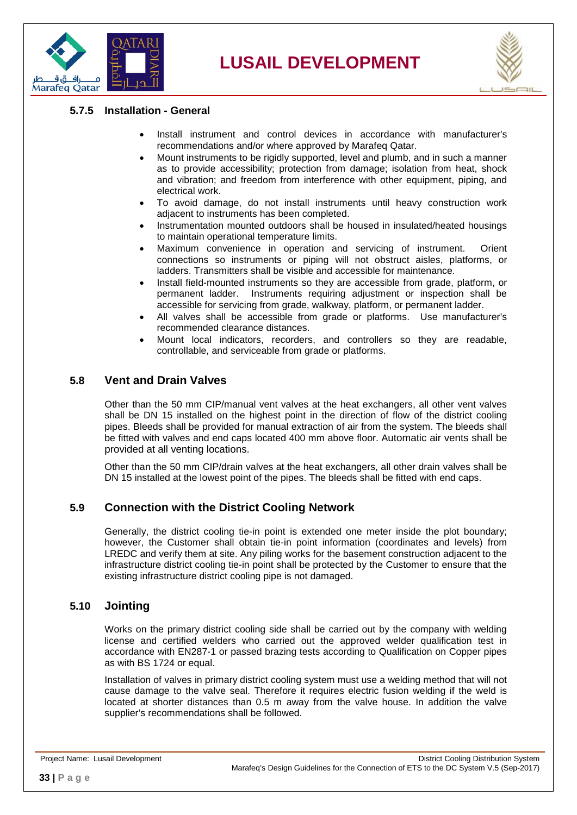



#### <span id="page-32-0"></span>**5.7.5 Installation - General**

- Install instrument and control devices in accordance with manufacturer's recommendations and/or where approved by Marafeq Qatar.
- Mount instruments to be rigidly supported, level and plumb, and in such a manner as to provide accessibility; protection from damage; isolation from heat, shock and vibration; and freedom from interference with other equipment, piping, and electrical work.
- To avoid damage, do not install instruments until heavy construction work adjacent to instruments has been completed.
- Instrumentation mounted outdoors shall be housed in insulated/heated housings to maintain operational temperature limits.
- Maximum convenience in operation and servicing of instrument. Orient connections so instruments or piping will not obstruct aisles, platforms, or ladders. Transmitters shall be visible and accessible for maintenance.
- Install field-mounted instruments so they are accessible from grade, platform, or permanent ladder. Instruments requiring adjustment or inspection shall be Instruments requiring adjustment or inspection shall be accessible for servicing from grade, walkway, platform, or permanent ladder.
- All valves shall be accessible from grade or platforms. Use manufacturer's recommended clearance distances.
- Mount local indicators, recorders, and controllers so they are readable, controllable, and serviceable from grade or platforms.

#### <span id="page-32-1"></span>**5.8 Vent and Drain Valves**

Other than the 50 mm CIP/manual vent valves at the heat exchangers, all other vent valves shall be DN 15 installed on the highest point in the direction of flow of the district cooling pipes. Bleeds shall be provided for manual extraction of air from the system. The bleeds shall be fitted with valves and end caps located 400 mm above floor. Automatic air vents shall be provided at all venting locations.

Other than the 50 mm CIP/drain valves at the heat exchangers, all other drain valves shall be DN 15 installed at the lowest point of the pipes. The bleeds shall be fitted with end caps.

#### <span id="page-32-2"></span>**5.9 Connection with the District Cooling Network**

Generally, the district cooling tie-in point is extended one meter inside the plot boundary; however, the Customer shall obtain tie-in point information (coordinates and levels) from LREDC and verify them at site. Any piling works for the basement construction adjacent to the infrastructure district cooling tie-in point shall be protected by the Customer to ensure that the existing infrastructure district cooling pipe is not damaged.

#### <span id="page-32-3"></span>**5.10 Jointing**

Works on the primary district cooling side shall be carried out by the company with welding license and certified welders who carried out the approved welder qualification test in accordance with EN287-1 or passed brazing tests according to Qualification on Copper pipes as with BS 1724 or equal.

Installation of valves in primary district cooling system must use a welding method that will not cause damage to the valve seal. Therefore it requires electric fusion welding if the weld is located at shorter distances than 0.5 m away from the valve house. In addition the valve supplier's recommendations shall be followed.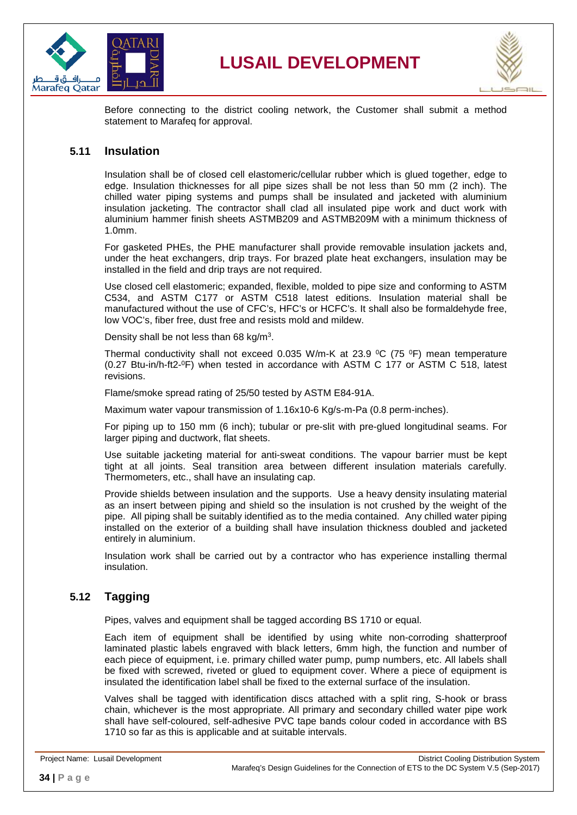



Before connecting to the district cooling network, the Customer shall submit a method statement to Marafeq for approval.

#### <span id="page-33-0"></span>**5.11 Insulation**

Insulation shall be of closed cell elastomeric/cellular rubber which is glued together, edge to edge. Insulation thicknesses for all pipe sizes shall be not less than 50 mm (2 inch). The chilled water piping systems and pumps shall be insulated and jacketed with aluminium insulation jacketing. The contractor shall clad all insulated pipe work and duct work with aluminium hammer finish sheets ASTMB209 and ASTMB209M with a minimum thickness of 1.0mm.

For gasketed PHEs, the PHE manufacturer shall provide removable insulation jackets and, under the heat exchangers, drip trays. For brazed plate heat exchangers, insulation may be installed in the field and drip trays are not required.

Use closed cell elastomeric; expanded, flexible, molded to pipe size and conforming to ASTM C534, and ASTM C177 or ASTM C518 latest editions. Insulation material shall be manufactured without the use of CFC's, HFC's or HCFC's. It shall also be formaldehyde free, low VOC's, fiber free, dust free and resists mold and mildew.

Density shall be not less than 68 kg/m3.

Thermal conductivity shall not exceed 0.035 W/m-K at 23.9  $\rm{^0C}$  (75  $\rm{^0F}$ ) mean temperature (0.27 Btu-in/h-ft2-0F) when tested in accordance with ASTM C 177 or ASTM C 518, latest revisions.

Flame/smoke spread rating of 25/50 tested by ASTM E84-91A.

Maximum water vapour transmission of 1.16x10-6 Kg/s-m-Pa (0.8 perm-inches).

For piping up to 150 mm (6 inch); tubular or pre-slit with pre-glued longitudinal seams. For larger piping and ductwork, flat sheets.

Use suitable jacketing material for anti-sweat conditions. The vapour barrier must be kept tight at all joints. Seal transition area between different insulation materials carefully. Thermometers, etc., shall have an insulating cap.

Provide shields between insulation and the supports. Use a heavy density insulating material as an insert between piping and shield so the insulation is not crushed by the weight of the pipe. All piping shall be suitably identified as to the media contained. Any chilled water piping installed on the exterior of a building shall have insulation thickness doubled and jacketed entirely in aluminium.

Insulation work shall be carried out by a contractor who has experience installing thermal insulation.

#### <span id="page-33-1"></span>**5.12 Tagging**

Pipes, valves and equipment shall be tagged according BS 1710 or equal.

Each item of equipment shall be identified by using white non-corroding shatterproof laminated plastic labels engraved with black letters, 6mm high, the function and number of each piece of equipment, i.e. primary chilled water pump, pump numbers, etc. All labels shall be fixed with screwed, riveted or glued to equipment cover. Where a piece of equipment is insulated the identification label shall be fixed to the external surface of the insulation.

Valves shall be tagged with identification discs attached with a split ring, S-hook or brass chain, whichever is the most appropriate. All primary and secondary chilled water pipe work shall have self-coloured, self-adhesive PVC tape bands colour coded in accordance with BS 1710 so far as this is applicable and at suitable intervals.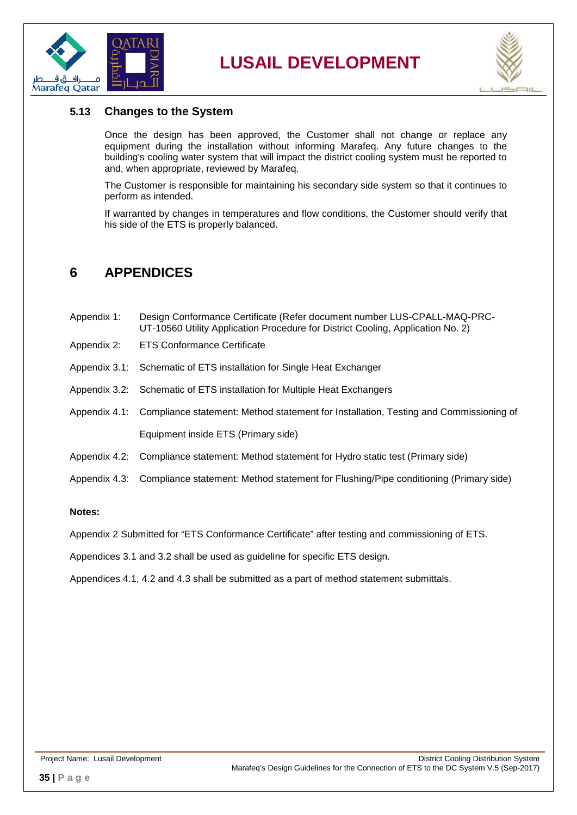



#### <span id="page-34-0"></span>**5.13 Changes to the System**

Once the design has been approved, the Customer shall not change or replace any equipment during the installation without informing Marafeq. Any future changes to the building's cooling water system that will impact the district cooling system must be reported to and, when appropriate, reviewed by Marafeq.

The Customer is responsible for maintaining his secondary side system so that it continues to perform as intended.

If warranted by changes in temperatures and flow conditions, the Customer should verify that his side of the ETS is properly balanced.

### <span id="page-34-1"></span>**6 APPENDICES**

- Appendix 1: Design Conformance Certificate (Refer document number LUS-CPALL-MAQ-PRC-UT-10560 Utility Application Procedure for District Cooling, Application No. 2)
- Appendix 2: ETS Conformance Certificate
- Appendix 3.1: Schematic of ETS installation for Single Heat Exchanger
- Appendix 3.2: Schematic of ETS installation for Multiple Heat Exchangers
- Appendix 4.1: Compliance statement: Method statement for Installation, Testing and Commissioning of Equipment inside ETS (Primary side)
- Appendix 4.2: Compliance statement: Method statement for Hydro static test (Primary side)
- Appendix 4.3: Compliance statement: Method statement for Flushing/Pipe conditioning (Primary side)

#### **Notes:**

Appendix 2 Submitted for "ETS Conformance Certificate" after testing and commissioning of ETS.

Appendices 3.1 and 3.2 shall be used as guideline for specific ETS design.

Appendices 4.1, 4.2 and 4.3 shall be submitted as a part of method statement submittals.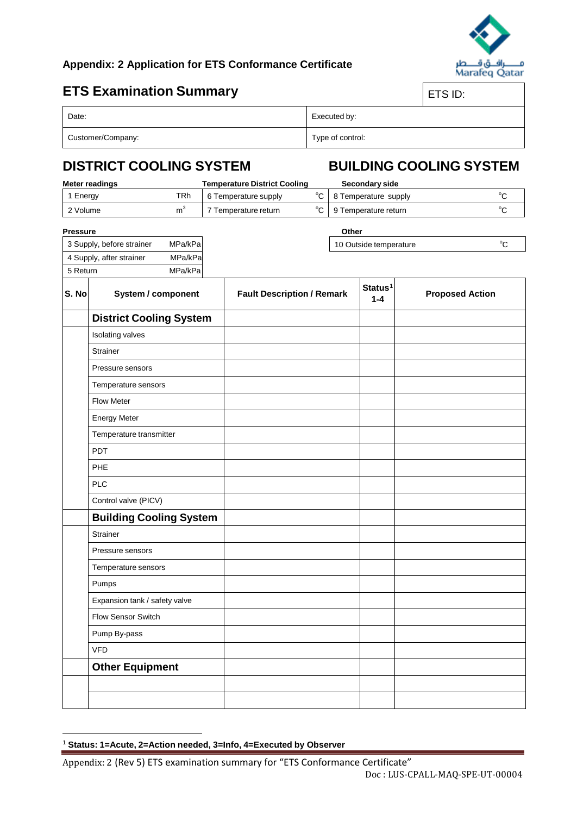

 $^{\circ}$ C

#### **Appendix: 2 Application for ETS Conformance Certificate**

### **ETS Examination Summary** ETS EXAMINATION

| ∹ .<br>◡. |  |
|-----------|--|
|           |  |

| Date:             | Executed by:     |
|-------------------|------------------|
| Customer/Company: | Type of control: |

### **DISTRICT COOLING SYSTEM BUILDING COOLING SYSTEM**

10 Outside temperature

| Meter readings |     | <b>Temperature District Cooling</b> | Secondary side            |  |
|----------------|-----|-------------------------------------|---------------------------|--|
| 1 Energy       | TRh | 6 Temperature supply                | °C   8 Temperature supply |  |
| 2 Volume       |     | Temperature return                  | °C   9 Temperature return |  |

#### **Pressure Other**

 $\overline{a}$ 

| 3 Supply, before strainer | MPa/kPa |
|---------------------------|---------|
| 4 Supply, after strainer  | MPa/kPa |
| 5 Return                  | MPa/kPa |

| S. No | System / component             | <b>Fault Description / Remark</b> | Status <sup>1</sup><br>$1 - 4$ | <b>Proposed Action</b> |
|-------|--------------------------------|-----------------------------------|--------------------------------|------------------------|
|       | <b>District Cooling System</b> |                                   |                                |                        |
|       | Isolating valves               |                                   |                                |                        |
|       | Strainer                       |                                   |                                |                        |
|       | Pressure sensors               |                                   |                                |                        |
|       | Temperature sensors            |                                   |                                |                        |
|       | Flow Meter                     |                                   |                                |                        |
|       | <b>Energy Meter</b>            |                                   |                                |                        |
|       | Temperature transmitter        |                                   |                                |                        |
|       | <b>PDT</b>                     |                                   |                                |                        |
|       | PHE                            |                                   |                                |                        |
|       | <b>PLC</b>                     |                                   |                                |                        |
|       | Control valve (PICV)           |                                   |                                |                        |
|       | <b>Building Cooling System</b> |                                   |                                |                        |
|       | Strainer                       |                                   |                                |                        |
|       | Pressure sensors               |                                   |                                |                        |
|       | Temperature sensors            |                                   |                                |                        |
|       | Pumps                          |                                   |                                |                        |
|       | Expansion tank / safety valve  |                                   |                                |                        |
|       | Flow Sensor Switch             |                                   |                                |                        |
|       | Pump By-pass                   |                                   |                                |                        |
|       | <b>VFD</b>                     |                                   |                                |                        |
|       | <b>Other Equipment</b>         |                                   |                                |                        |
|       |                                |                                   |                                |                        |
|       |                                |                                   |                                |                        |

<span id="page-35-0"></span><sup>1</sup> **Status: 1=Acute, 2=Action needed, 3=Info, 4=Executed by Observer**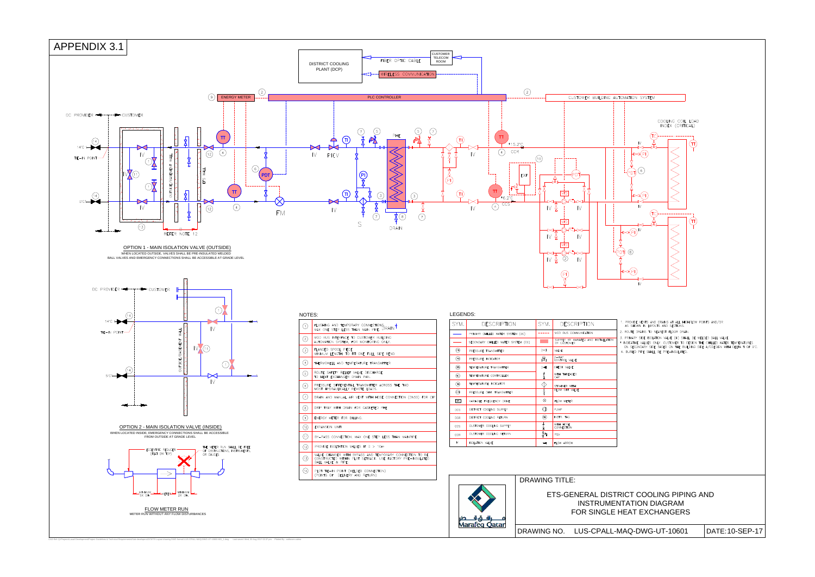

| $2^{\circ}$ C<br>(10)<br>PD<br>EXP<br><b>VFD</b><br>$\sqrt{2}$<br>$\mathsf{IV}$<br><b>VFD</b><br>$\sqrt{2}$<br>$\mathsf{IV}$<br><b>VFD</b><br>IV ∯<br>2,<br>IV                                                                                                                                                                                                                                                                                     | COOLING COIL LOAD<br>INDEX (CRITICAL)<br>IV<br>6<br>D.<br>$\mathsf{N}$<br>IV<br>ÞI<br>$\epsilon$<br>PI<br>$\mathbb N$                                                                                                                                                                                                                                                                                                 |
|----------------------------------------------------------------------------------------------------------------------------------------------------------------------------------------------------------------------------------------------------------------------------------------------------------------------------------------------------------------------------------------------------------------------------------------------------|-----------------------------------------------------------------------------------------------------------------------------------------------------------------------------------------------------------------------------------------------------------------------------------------------------------------------------------------------------------------------------------------------------------------------|
| SYM.<br><b>DESCRIPTION</b><br>MOD BUS COMMUNICATION<br>(DC)<br>SUPPLY BY MARAFEQ AND INSTALLATION<br>EM (CC)<br>BY CUSTOMER<br>$\bowtie$<br>VALVE<br>2-WAY<br>CONTROL VALVE<br>$\mathbb{R}$<br>CHECK VALVE<br>$\triangleright$<br>ķ<br>WITH THREADED<br>CAP<br>$\overline{\mathbb{Q}}$<br>STRAINER WITH<br>₿<br><b>BLOW OFF VALVE</b><br>⊗<br>FLOW METER<br>◎<br>PUMP<br>⊕<br>INSTR. TAG<br>≸<br>WITH HOSE<br>CONNECTION<br>斜<br>PSV<br>FLOW ARROW | 1. PROVIDE VENTS AND DRAINS AT ALL HIGH/LOW POINTS AND/OR<br>AS SHOWN IN LAYOUTS AND SECTIONS.<br>2. ROUTE DRAINS TO NEAREST FLOOR DRAIN.<br>3. PRIMARY SIDE ISOLATION VALVE (IV) SHALL BE WELDED BALL VALVE.<br>* INDICATIVE VALUES ONLY. CUSTOMER TO DESIGN THE CHILLED WATER TEMPERATURES<br>ON SECONDARY SIDE BASED ON THE BUILDING SIDE A/CDESIGN WITH DELTA T OF 9°C.<br>4. BURIED PIPE SHALL BE PRE-INSULATED. |
| <b>DRAWING TITLE:</b>                                                                                                                                                                                                                                                                                                                                                                                                                              | ETS-GENERAL DISTRICT COOLING PIPING AND<br><b>INSTRUMENTATION DIAGRAM</b>                                                                                                                                                                                                                                                                                                                                             |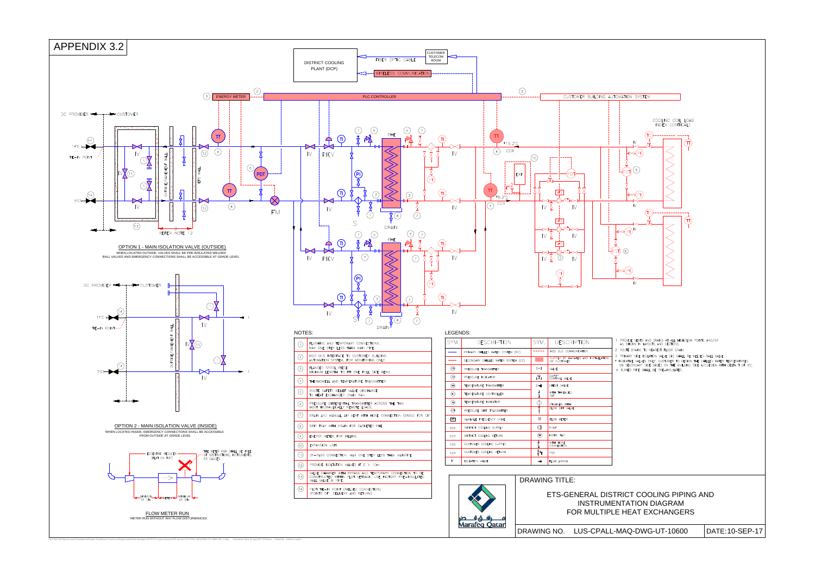

CAD Ref: Q:\Projects\Lusail Development\Project Guidelines & Technical Requirements\Sub-developers\DC\ETS Layout drawing DWG format\ LUS-CPALL-MAQ-DWG-UT-10600-601\_1.dwg Last saved: Wed, 30 Aug 2017 02:36 pm Plotted By : a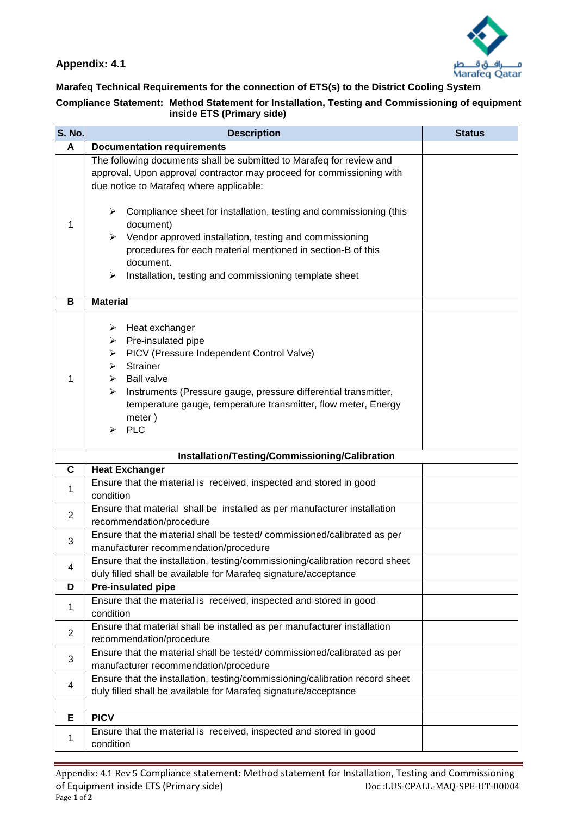

# **Marafeq Technical Requirements for the connection of ETS(s) to the District Cooling System**

#### **Compliance Statement: Method Statement for Installation, Testing and Commissioning of equipment inside ETS (Primary side)**

| <b>S. No.</b>  | <b>Description</b>                                                                                                                                                                                                                                                                                                                                                                                                                       | <b>Status</b> |  |  |
|----------------|------------------------------------------------------------------------------------------------------------------------------------------------------------------------------------------------------------------------------------------------------------------------------------------------------------------------------------------------------------------------------------------------------------------------------------------|---------------|--|--|
| A              | <b>Documentation requirements</b>                                                                                                                                                                                                                                                                                                                                                                                                        |               |  |  |
| 1              | The following documents shall be submitted to Marafeq for review and<br>approval. Upon approval contractor may proceed for commissioning with<br>due notice to Marafeq where applicable:<br>$\triangleright$ Compliance sheet for installation, testing and commissioning (this<br>document)<br>Vendor approved installation, testing and commissioning<br>➤<br>procedures for each material mentioned in section-B of this<br>document. |               |  |  |
|                | Installation, testing and commissioning template sheet<br>⋗                                                                                                                                                                                                                                                                                                                                                                              |               |  |  |
| в              | <b>Material</b>                                                                                                                                                                                                                                                                                                                                                                                                                          |               |  |  |
| 1              | Heat exchanger<br>➤<br>Pre-insulated pipe<br>➤<br>PICV (Pressure Independent Control Valve)<br>➤<br><b>Strainer</b><br>➤<br><b>Ball valve</b><br>⋗<br>Instruments (Pressure gauge, pressure differential transmitter,<br>➤<br>temperature gauge, temperature transmitter, flow meter, Energy<br>meter)<br><b>PLC</b><br>↘                                                                                                                |               |  |  |
|                | Installation/Testing/Commissioning/Calibration                                                                                                                                                                                                                                                                                                                                                                                           |               |  |  |
| $\mathbf c$    | <b>Heat Exchanger</b>                                                                                                                                                                                                                                                                                                                                                                                                                    |               |  |  |
| 1              | Ensure that the material is received, inspected and stored in good<br>condition                                                                                                                                                                                                                                                                                                                                                          |               |  |  |
| $\overline{2}$ | Ensure that material shall be installed as per manufacturer installation<br>recommendation/procedure                                                                                                                                                                                                                                                                                                                                     |               |  |  |
| 3              | Ensure that the material shall be tested/commissioned/calibrated as per<br>manufacturer recommendation/procedure                                                                                                                                                                                                                                                                                                                         |               |  |  |
| 4              | Ensure that the installation, testing/commissioning/calibration record sheet<br>duly filled shall be available for Marafeq signature/acceptance                                                                                                                                                                                                                                                                                          |               |  |  |
| D              | Pre-insulated pipe                                                                                                                                                                                                                                                                                                                                                                                                                       |               |  |  |
| 1              | Ensure that the material is received, inspected and stored in good<br>condition                                                                                                                                                                                                                                                                                                                                                          |               |  |  |
| 2              | Ensure that material shall be installed as per manufacturer installation<br>recommendation/procedure                                                                                                                                                                                                                                                                                                                                     |               |  |  |
| 3              | Ensure that the material shall be tested/commissioned/calibrated as per<br>manufacturer recommendation/procedure                                                                                                                                                                                                                                                                                                                         |               |  |  |
| 4              | Ensure that the installation, testing/commissioning/calibration record sheet<br>duly filled shall be available for Marafeq signature/acceptance                                                                                                                                                                                                                                                                                          |               |  |  |
| Е              | <b>PICV</b>                                                                                                                                                                                                                                                                                                                                                                                                                              |               |  |  |
| 1              | Ensure that the material is received, inspected and stored in good<br>condition                                                                                                                                                                                                                                                                                                                                                          |               |  |  |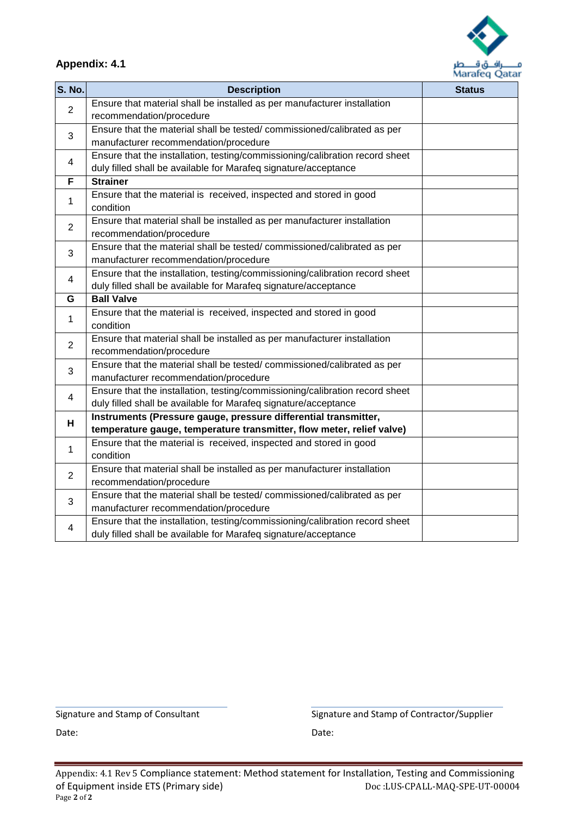

| <b>S. No.</b>  | <b>Description</b>                                                                                  | m<br><b>Status</b> |
|----------------|-----------------------------------------------------------------------------------------------------|--------------------|
|                | Ensure that material shall be installed as per manufacturer installation                            |                    |
| $\overline{2}$ | recommendation/procedure                                                                            |                    |
| 3              | Ensure that the material shall be tested/commissioned/calibrated as per                             |                    |
|                | manufacturer recommendation/procedure                                                               |                    |
|                | Ensure that the installation, testing/commissioning/calibration record sheet                        |                    |
| 4              | duly filled shall be available for Marafeq signature/acceptance                                     |                    |
| F              | <b>Strainer</b>                                                                                     |                    |
| 1              | Ensure that the material is received, inspected and stored in good                                  |                    |
|                | condition                                                                                           |                    |
| $\overline{2}$ | Ensure that material shall be installed as per manufacturer installation                            |                    |
|                | recommendation/procedure                                                                            |                    |
| 3              | Ensure that the material shall be tested/commissioned/calibrated as per                             |                    |
|                | manufacturer recommendation/procedure                                                               |                    |
| 4              | Ensure that the installation, testing/commissioning/calibration record sheet                        |                    |
|                | duly filled shall be available for Marafeq signature/acceptance                                     |                    |
| G              | <b>Ball Valve</b>                                                                                   |                    |
| 1              | Ensure that the material is received, inspected and stored in good                                  |                    |
|                | condition                                                                                           |                    |
| $\overline{2}$ | Ensure that material shall be installed as per manufacturer installation                            |                    |
|                | recommendation/procedure                                                                            |                    |
| $\mathbf{3}$   | Ensure that the material shall be tested/commissioned/calibrated as per                             |                    |
|                | manufacturer recommendation/procedure                                                               |                    |
| 4              | Ensure that the installation, testing/commissioning/calibration record sheet                        |                    |
|                | duly filled shall be available for Marafeq signature/acceptance                                     |                    |
| н              | Instruments (Pressure gauge, pressure differential transmitter,                                     |                    |
|                | temperature gauge, temperature transmitter, flow meter, relief valve)                               |                    |
| 1              | Ensure that the material is received, inspected and stored in good<br>condition                     |                    |
|                |                                                                                                     |                    |
| $\overline{2}$ | Ensure that material shall be installed as per manufacturer installation                            |                    |
|                | recommendation/procedure<br>Ensure that the material shall be tested/commissioned/calibrated as per |                    |
| 3              | manufacturer recommendation/procedure                                                               |                    |
|                | Ensure that the installation, testing/commissioning/calibration record sheet                        |                    |
| 4              | duly filled shall be available for Marafeq signature/acceptance                                     |                    |
|                |                                                                                                     |                    |

Date: **Date: Date: Date: Date: Date: Date: Date: Date: Date: Date:** 

Signature and Stamp of Consultant The Signature and Stamp of Contractor/Supplier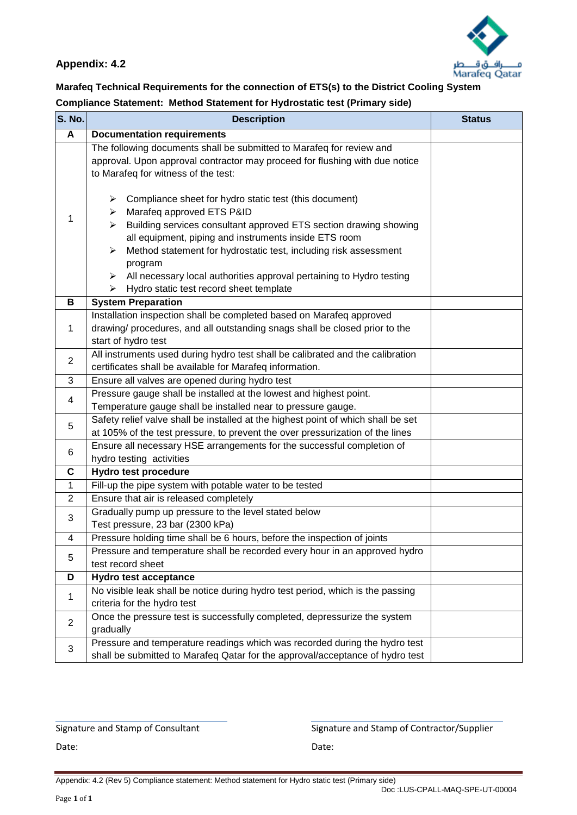

#### **Marafeq Technical Requirements for the connection of ETS(s) to the District Cooling System Compliance Statement: Method Statement for Hydrostatic test (Primary side)**

| S. No.         | <b>Description</b>                                                                                                                                                                                                                                                                                                                                                                                                                                            | <b>Status</b> |  |  |
|----------------|---------------------------------------------------------------------------------------------------------------------------------------------------------------------------------------------------------------------------------------------------------------------------------------------------------------------------------------------------------------------------------------------------------------------------------------------------------------|---------------|--|--|
| A              | <b>Documentation requirements</b>                                                                                                                                                                                                                                                                                                                                                                                                                             |               |  |  |
|                | The following documents shall be submitted to Marafeq for review and<br>approval. Upon approval contractor may proceed for flushing with due notice<br>to Marafeq for witness of the test:                                                                                                                                                                                                                                                                    |               |  |  |
| 1              | $\triangleright$ Compliance sheet for hydro static test (this document)<br>Marafeq approved ETS P&ID<br>➤<br>Building services consultant approved ETS section drawing showing<br>≻<br>all equipment, piping and instruments inside ETS room<br>Method statement for hydrostatic test, including risk assessment<br>➤<br>program<br>All necessary local authorities approval pertaining to Hydro testing<br>➤<br>Hydro static test record sheet template<br>➤ |               |  |  |
| В              | <b>System Preparation</b>                                                                                                                                                                                                                                                                                                                                                                                                                                     |               |  |  |
| 1              | Installation inspection shall be completed based on Marafeq approved<br>drawing/ procedures, and all outstanding snags shall be closed prior to the<br>start of hydro test                                                                                                                                                                                                                                                                                    |               |  |  |
| $\overline{2}$ | All instruments used during hydro test shall be calibrated and the calibration<br>certificates shall be available for Marafeq information.                                                                                                                                                                                                                                                                                                                    |               |  |  |
| 3              | Ensure all valves are opened during hydro test                                                                                                                                                                                                                                                                                                                                                                                                                |               |  |  |
| 4              | Pressure gauge shall be installed at the lowest and highest point.<br>Temperature gauge shall be installed near to pressure gauge.                                                                                                                                                                                                                                                                                                                            |               |  |  |
| 5              | Safety relief valve shall be installed at the highest point of which shall be set<br>at 105% of the test pressure, to prevent the over pressurization of the lines                                                                                                                                                                                                                                                                                            |               |  |  |
| 6              | Ensure all necessary HSE arrangements for the successful completion of<br>hydro testing activities                                                                                                                                                                                                                                                                                                                                                            |               |  |  |
| $\mathbf c$    | Hydro test procedure                                                                                                                                                                                                                                                                                                                                                                                                                                          |               |  |  |
| $\mathbf{1}$   | Fill-up the pipe system with potable water to be tested                                                                                                                                                                                                                                                                                                                                                                                                       |               |  |  |
| 2              | Ensure that air is released completely                                                                                                                                                                                                                                                                                                                                                                                                                        |               |  |  |
| 3              | Gradually pump up pressure to the level stated below<br>Test pressure, 23 bar (2300 kPa)                                                                                                                                                                                                                                                                                                                                                                      |               |  |  |
| $\overline{4}$ | Pressure holding time shall be 6 hours, before the inspection of joints                                                                                                                                                                                                                                                                                                                                                                                       |               |  |  |
| 5              | Pressure and temperature shall be recorded every hour in an approved hydro<br>test record sheet                                                                                                                                                                                                                                                                                                                                                               |               |  |  |
| D              | <b>Hydro test acceptance</b>                                                                                                                                                                                                                                                                                                                                                                                                                                  |               |  |  |
| $\mathbf{1}$   | No visible leak shall be notice during hydro test period, which is the passing<br>criteria for the hydro test                                                                                                                                                                                                                                                                                                                                                 |               |  |  |
| 2              | Once the pressure test is successfully completed, depressurize the system<br>gradually                                                                                                                                                                                                                                                                                                                                                                        |               |  |  |
| 3              | Pressure and temperature readings which was recorded during the hydro test<br>shall be submitted to Marafeq Qatar for the approval/acceptance of hydro test                                                                                                                                                                                                                                                                                                   |               |  |  |

Signature and Stamp of Consultant Signature and Stamp of Contractor/Supplier

Date: **Date: Date: Date: Date: Date: Date: Date: Date: Date: Date:**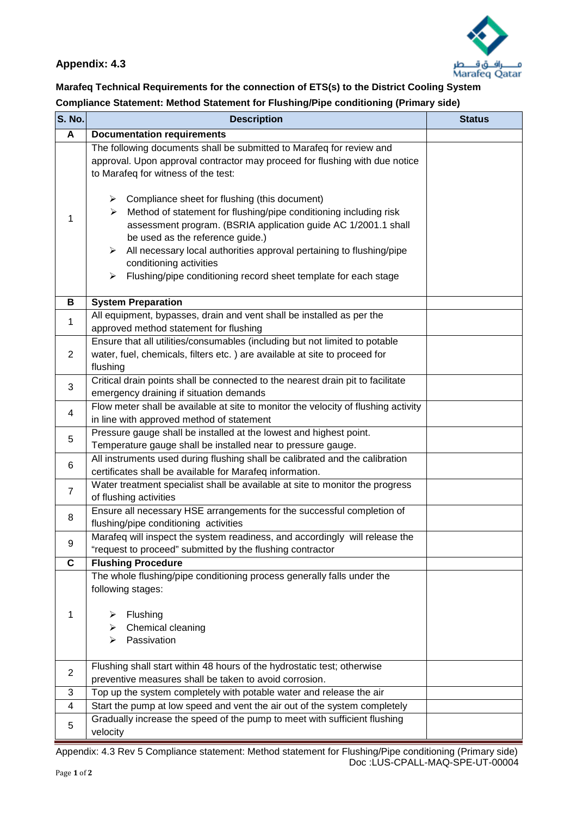

#### **Marafeq Technical Requirements for the connection of ETS(s) to the District Cooling System Compliance Statement: Method Statement for Flushing/Pipe conditioning (Primary side)**

| <b>S. No.</b>  | <b>Description</b>                                                                                                                                                                                                                                                                                                                                                       | <b>Status</b> |  |  |
|----------------|--------------------------------------------------------------------------------------------------------------------------------------------------------------------------------------------------------------------------------------------------------------------------------------------------------------------------------------------------------------------------|---------------|--|--|
| A              | <b>Documentation requirements</b>                                                                                                                                                                                                                                                                                                                                        |               |  |  |
|                | The following documents shall be submitted to Marafeq for review and<br>approval. Upon approval contractor may proceed for flushing with due notice<br>to Marafeq for witness of the test:<br>$\triangleright$ Compliance sheet for flushing (this document)                                                                                                             |               |  |  |
| 1              | Method of statement for flushing/pipe conditioning including risk<br>≻<br>assessment program. (BSRIA application guide AC 1/2001.1 shall<br>be used as the reference guide.)<br>All necessary local authorities approval pertaining to flushing/pipe<br>≻<br>conditioning activities<br>$\triangleright$ Flushing/pipe conditioning record sheet template for each stage |               |  |  |
| В              | <b>System Preparation</b>                                                                                                                                                                                                                                                                                                                                                |               |  |  |
| 1              | All equipment, bypasses, drain and vent shall be installed as per the<br>approved method statement for flushing                                                                                                                                                                                                                                                          |               |  |  |
| 2              | Ensure that all utilities/consumables (including but not limited to potable<br>water, fuel, chemicals, filters etc.) are available at site to proceed for<br>flushing                                                                                                                                                                                                    |               |  |  |
| 3              | Critical drain points shall be connected to the nearest drain pit to facilitate<br>emergency draining if situation demands                                                                                                                                                                                                                                               |               |  |  |
| 4              | Flow meter shall be available at site to monitor the velocity of flushing activity<br>in line with approved method of statement                                                                                                                                                                                                                                          |               |  |  |
| 5              | Pressure gauge shall be installed at the lowest and highest point.<br>Temperature gauge shall be installed near to pressure gauge.                                                                                                                                                                                                                                       |               |  |  |
| $\,6$          | All instruments used during flushing shall be calibrated and the calibration<br>certificates shall be available for Marafeq information.                                                                                                                                                                                                                                 |               |  |  |
| $\overline{7}$ | Water treatment specialist shall be available at site to monitor the progress<br>of flushing activities                                                                                                                                                                                                                                                                  |               |  |  |
| 8              | Ensure all necessary HSE arrangements for the successful completion of<br>flushing/pipe conditioning activities                                                                                                                                                                                                                                                          |               |  |  |
| 9              | Marafeq will inspect the system readiness, and accordingly will release the<br>"request to proceed" submitted by the flushing contractor                                                                                                                                                                                                                                 |               |  |  |
| $\mathbf c$    | <b>Flushing Procedure</b>                                                                                                                                                                                                                                                                                                                                                |               |  |  |
| 1              | The whole flushing/pipe conditioning process generally falls under the<br>following stages:<br>Flushing<br>Chemical cleaning<br>➤<br>Passivation<br>➤                                                                                                                                                                                                                    |               |  |  |
| $\overline{2}$ | Flushing shall start within 48 hours of the hydrostatic test; otherwise<br>preventive measures shall be taken to avoid corrosion.                                                                                                                                                                                                                                        |               |  |  |
| 3              | Top up the system completely with potable water and release the air                                                                                                                                                                                                                                                                                                      |               |  |  |
| 4              | Start the pump at low speed and vent the air out of the system completely                                                                                                                                                                                                                                                                                                |               |  |  |
| 5              | Gradually increase the speed of the pump to meet with sufficient flushing<br>velocity                                                                                                                                                                                                                                                                                    |               |  |  |

Appendix: 4.3 Rev 5 Compliance statement: Method statement for Flushing/Pipe conditioning (Primary side) Doc :LUS-CPALL-MAQ-SPE-UT-00004